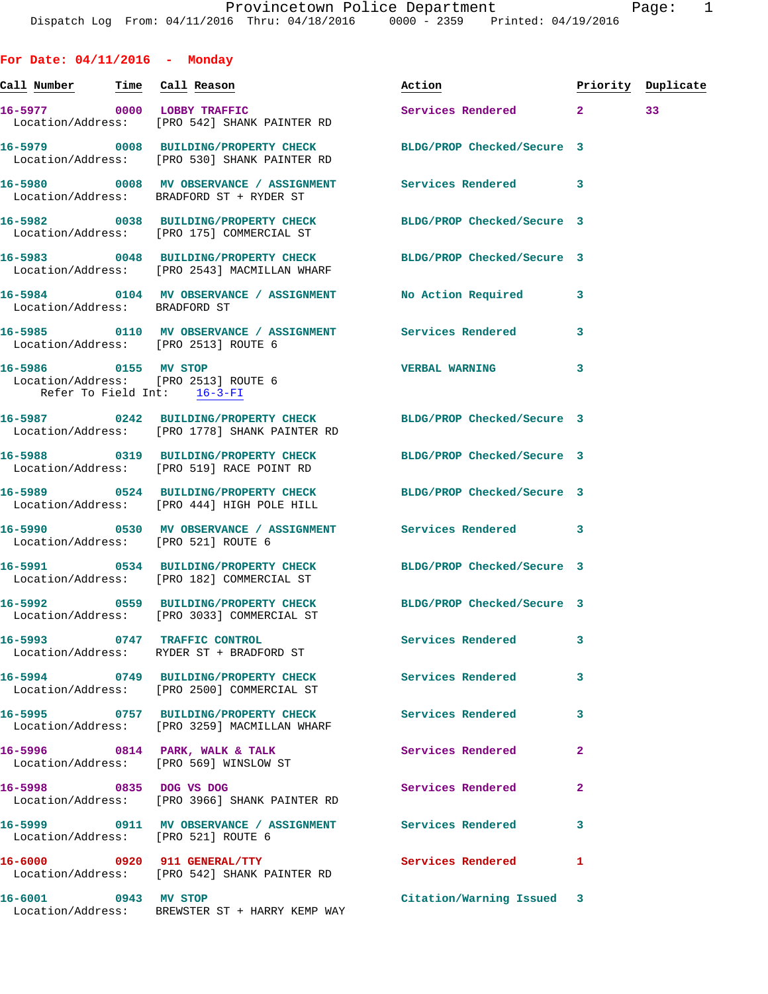**For Date: 04/11/2016 - Monday Call Number Time Call Reason Action Priority Duplicate 16-5977 0000 LOBBY TRAFFIC Services Rendered 2 33**  Location/Address: [PRO 542] SHANK PAINTER RD **16-5979 0008 BUILDING/PROPERTY CHECK BLDG/PROP Checked/Secure 3**  Location/Address: [PRO 530] SHANK PAINTER RD **16-5980 0008 MV OBSERVANCE / ASSIGNMENT Services Rendered 3**  Location/Address: BRADFORD ST + RYDER ST **16-5982 0038 BUILDING/PROPERTY CHECK BLDG/PROP Checked/Secure 3**  Location/Address: [PRO 175] COMMERCIAL ST **16-5983 0048 BUILDING/PROPERTY CHECK BLDG/PROP Checked/Secure 3**  Location/Address: [PRO 2543] MACMILLAN WHARF **16-5984 0104 MV OBSERVANCE / ASSIGNMENT No Action Required 3**  Location/Address: BRADFORD ST **16-5985 0110 MV OBSERVANCE / ASSIGNMENT Services Rendered 3**  Location/Address: [PRO 2513] ROUTE 6 **16-5986 0155 MV STOP VERBAL WARNING 3**  Location/Address: [PRO 2513] ROUTE 6 Refer To Field Int: 16-3-FI **16-5987 0242 BUILDING/PROPERTY CHECK BLDG/PROP Checked/Secure 3**  Location/Address: [PRO 1778] SHANK PAINTER RD **16-5988 0319 BUILDING/PROPERTY CHECK BLDG/PROP Checked/Secure 3**  Location/Address: [PRO 519] RACE POINT RD **16-5989 0524 BUILDING/PROPERTY CHECK BLDG/PROP Checked/Secure 3**  Location/Address: [PRO 444] HIGH POLE HILL **16-5990 0530 MV OBSERVANCE / ASSIGNMENT Services Rendered 3**  Location/Address: [PRO 521] ROUTE 6 **16-5991 0534 BUILDING/PROPERTY CHECK BLDG/PROP Checked/Secure 3**  Location/Address: [PRO 182] COMMERCIAL ST **16-5992 0559 BUILDING/PROPERTY CHECK BLDG/PROP Checked/Secure 3**  Location/Address: [PRO 3033] COMMERCIAL ST **16-5993 0747 TRAFFIC CONTROL Services Rendered 3**  Location/Address: RYDER ST + BRADFORD ST **16-5994 0749 BUILDING/PROPERTY CHECK Services Rendered 3**  Location/Address: [PRO 2500] COMMERCIAL ST **16-5995 0757 BUILDING/PROPERTY CHECK Services Rendered 3**  Location/Address: [PRO 3259] MACMILLAN WHARF **16-5996 0814 PARK, WALK & TALK Services Rendered 2**  Location/Address: [PRO 569] WINSLOW ST **16-5998 0835 DOG VS DOG Services Rendered 2**  Location/Address: [PRO 3966] SHANK PAINTER RD **16-5999 0911 MV OBSERVANCE / ASSIGNMENT Services Rendered 3**  Location/Address: [PRO 521] ROUTE 6

**16-6000 0920 911 GENERAL/TTY Services Rendered 1**  Location/Address: [PRO 542] SHANK PAINTER RD **16-6001 0943 MV STOP Citation/Warning Issued 3** 

Location/Address: BREWSTER ST + HARRY KEMP WAY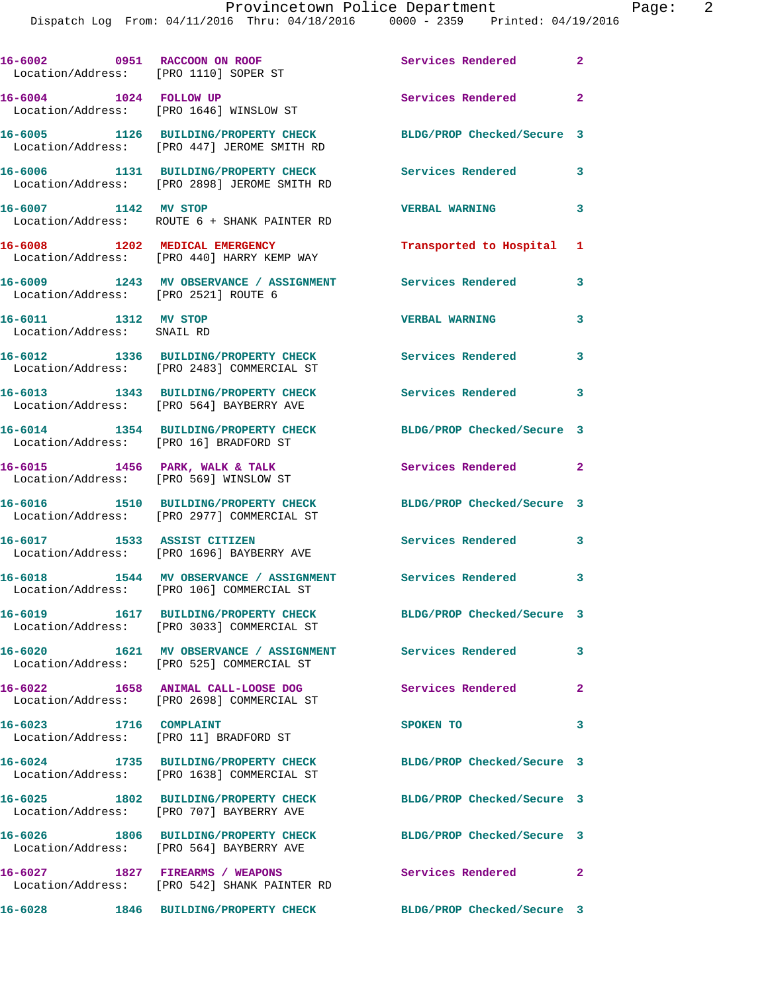| 16-6002 0951 RACCOON ON ROOF<br>Location/Address: [PRO 1110] SOPER ST |                                                                                                          | Services Rendered 2        |                            |
|-----------------------------------------------------------------------|----------------------------------------------------------------------------------------------------------|----------------------------|----------------------------|
| 16-6004 1024 FOLLOW UP                                                | Location/Address: [PRO 1646] WINSLOW ST                                                                  | Services Rendered          | $\overline{2}$             |
|                                                                       | 16-6005 1126 BUILDING/PROPERTY CHECK<br>Location/Address: [PRO 447] JEROME SMITH RD                      | BLDG/PROP Checked/Secure 3 |                            |
|                                                                       | 16-6006 1131 BUILDING/PROPERTY CHECK<br>Location/Address: [PRO 2898] JEROME SMITH RD                     | <b>Services Rendered</b>   | $\overline{\phantom{a}}$ 3 |
| 16-6007 1142 MV STOP                                                  | Location/Address: ROUTE 6 + SHANK PAINTER RD                                                             | <b>VERBAL WARNING</b>      | 3                          |
|                                                                       | 16-6008 1202 MEDICAL EMERGENCY<br>Location/Address: [PRO 440] HARRY KEMP WAY                             | Transported to Hospital 1  |                            |
| Location/Address: [PRO 2521] ROUTE 6                                  | 16-6009 1243 MV OBSERVANCE / ASSIGNMENT Services Rendered                                                |                            | 3                          |
| 16-6011 1312 MV STOP<br>Location/Address: SNAIL RD                    |                                                                                                          | <b>VERBAL WARNING</b>      | 3                          |
|                                                                       | 16-6012 1336 BUILDING/PROPERTY CHECK<br>Location/Address: [PRO 2483] COMMERCIAL ST                       | <b>Services Rendered</b>   | 3                          |
|                                                                       | 16-6013 1343 BUILDING/PROPERTY CHECK<br>Location/Address: [PRO 564] BAYBERRY AVE                         | Services Rendered 3        |                            |
| Location/Address: [PRO 16] BRADFORD ST                                | 16-6014 1354 BUILDING/PROPERTY CHECK                                                                     | BLDG/PROP Checked/Secure 3 |                            |
| 16-6015 1456 PARK, WALK & TALK                                        | Location/Address: [PRO 569] WINSLOW ST                                                                   | Services Rendered          | $\overline{a}$             |
|                                                                       | 16-6016 1510 BUILDING/PROPERTY CHECK<br>Location/Address: [PRO 2977] COMMERCIAL ST                       | BLDG/PROP Checked/Secure 3 |                            |
| 16-6017 1533 ASSIST CITIZEN                                           | Location/Address: [PRO 1696] BAYBERRY AVE                                                                | <b>Services Rendered</b>   | $\overline{\mathbf{3}}$    |
|                                                                       | 16-6018 1544 MV OBSERVANCE / ASSIGNMENT Services Rendered 3<br>Location/Address: [PRO 106] COMMERCIAL ST |                            |                            |
|                                                                       | 16-6019 1617 BUILDING/PROPERTY CHECK<br>Location/Address: [PRO 3033] COMMERCIAL ST                       | BLDG/PROP Checked/Secure 3 |                            |
|                                                                       | 16-6020 1621 MV OBSERVANCE / ASSIGNMENT Services Rendered<br>Location/Address: [PRO 525] COMMERCIAL ST   |                            | 3                          |
|                                                                       | 16-6022 1658 ANIMAL CALL-LOOSE DOG<br>Location/Address: [PRO 2698] COMMERCIAL ST                         | Services Rendered          | $\mathbf{2}$               |
| 16-6023 1716 COMPLAINT<br>Location/Address: [PRO 11] BRADFORD ST      |                                                                                                          | SPOKEN TO                  | 3                          |
|                                                                       | 16-6024 1735 BUILDING/PROPERTY CHECK<br>Location/Address: [PRO 1638] COMMERCIAL ST                       | BLDG/PROP Checked/Secure 3 |                            |
|                                                                       | 16-6025 1802 BUILDING/PROPERTY CHECK<br>Location/Address: [PRO 707] BAYBERRY AVE                         | BLDG/PROP Checked/Secure 3 |                            |
|                                                                       | 16-6026 1806 BUILDING/PROPERTY CHECK<br>Location/Address: [PRO 564] BAYBERRY AVE                         | BLDG/PROP Checked/Secure 3 |                            |
|                                                                       | 16-6027 1827 FIREARMS / WEAPONS<br>Location/Address: [PRO 542] SHANK PAINTER RD                          | Services Rendered          | $\mathbf{2}$               |
|                                                                       | 16-6028 1846 BUILDING/PROPERTY CHECK                                                                     | BLDG/PROP Checked/Secure 3 |                            |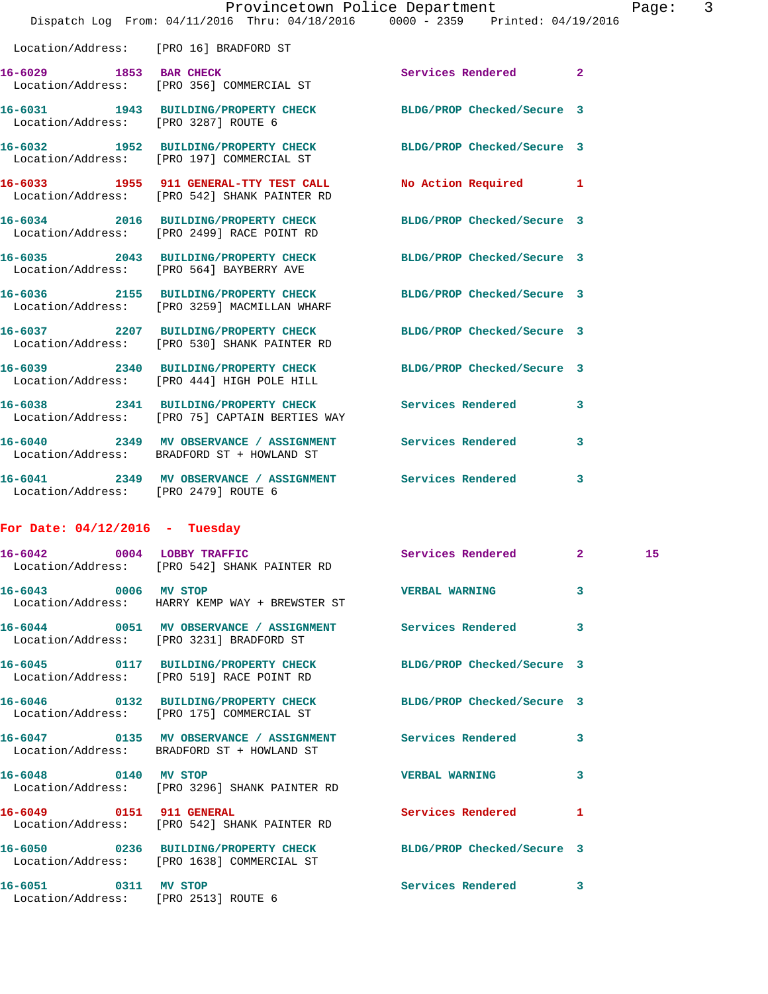|                                      | Dispatch Log From: 04/11/2016 Thru: 04/18/2016 0000 - 2359 Printed: 04/19/2016                                  | Provincetown Police Department |              | Page |
|--------------------------------------|-----------------------------------------------------------------------------------------------------------------|--------------------------------|--------------|------|
|                                      | Location/Address: [PRO 16] BRADFORD ST                                                                          |                                |              |      |
| 16-6029 1853 BAR CHECK               | Location/Address: [PRO 356] COMMERCIAL ST                                                                       | Services Rendered              | $\mathbf{2}$ |      |
| Location/Address: [PRO 3287] ROUTE 6 | 16-6031 1943 BUILDING/PROPERTY CHECK BLDG/PROP Checked/Secure 3                                                 |                                |              |      |
|                                      | 16-6032 1952 BUILDING/PROPERTY CHECK BLDG/PROP Checked/Secure 3<br>Location/Address: [PRO 197] COMMERCIAL ST    |                                |              |      |
|                                      | 16-6033 1955 911 GENERAL-TTY TEST CALL No Action Required 1<br>Location/Address: [PRO 542] SHANK PAINTER RD     |                                |              |      |
|                                      | 16-6034 2016 BUILDING/PROPERTY CHECK BLDG/PROP Checked/Secure 3<br>Location/Address: [PRO 2499] RACE POINT RD   |                                |              |      |
|                                      | 16-6035 2043 BUILDING/PROPERTY CHECK BLDG/PROP Checked/Secure 3<br>Location/Address: [PRO 564] BAYBERRY AVE     |                                |              |      |
|                                      | 16-6036 2155 BUILDING/PROPERTY CHECK<br>Location/Address: [PRO 3259] MACMILLAN WHARF                            | BLDG/PROP Checked/Secure 3     |              |      |
|                                      | 16-6037 2207 BUILDING/PROPERTY CHECK BLDG/PROP Checked/Secure 3<br>Location/Address: [PRO 530] SHANK PAINTER RD |                                |              |      |
|                                      | 16-6039 2340 BUILDING/PROPERTY CHECK<br>Location/Address: [PRO 444] HIGH POLE HILL                              | BLDG/PROP Checked/Secure 3     |              |      |
|                                      | 16-6038 2341 BUILDING/PROPERTY CHECK Services Rendered<br>Location/Address: [PRO 75] CAPTAIN BERTIES WAY        |                                | 3            |      |
|                                      | 16-6040 2349 MV OBSERVANCE / ASSIGNMENT Services Rendered<br>Location/Address: BRADFORD ST + HOWLAND ST         |                                | 3            |      |
| Location/Address: [PRO 2479] ROUTE 6 | 16-6041 2349 MV OBSERVANCE / ASSIGNMENT Services Rendered                                                       |                                | 3            |      |
| For Date: $04/12/2016$ - Tuesday     |                                                                                                                 |                                |              |      |
| 16-6042 0004 LOBBY TRAFFIC           | Location/Address: [PRO 542] SHANK PAINTER RD                                                                    | Services Rendered 2 15         |              |      |
| 16-6043 0006 MV STOP                 | Location/Address: HARRY KEMP WAY + BREWSTER ST                                                                  | <b>VERBAL WARNING</b>          | 3            |      |
|                                      | 16-6044 0051 MV OBSERVANCE / ASSIGNMENT Services Rendered<br>Location/Address: [PRO 3231] BRADFORD ST           |                                | 3            |      |
|                                      | 16-6045 0117 BUILDING/PROPERTY CHECK BLDG/PROP Checked/Secure 3<br>Location/Address: [PRO 519] RACE POINT RD    |                                |              |      |
|                                      | 16-6046 0132 BUILDING/PROPERTY CHECK<br>Location/Address: [PRO 175] COMMERCIAL ST                               | BLDG/PROP Checked/Secure 3     |              |      |
|                                      | 16-6047 0135 MV OBSERVANCE / ASSIGNMENT Services Rendered<br>Location/Address: BRADFORD ST + HOWLAND ST         |                                | 3            |      |
| 16-6048 0140 MV STOP                 | Location/Address: [PRO 3296] SHANK PAINTER RD                                                                   | <b>VERBAL WARNING</b>          | 3            |      |
| 16-6049 0151 911 GENERAL             | Location/Address: [PRO 542] SHANK PAINTER RD                                                                    | Services Rendered              | 1            |      |
|                                      | 16-6050 0236 BUILDING/PROPERTY CHECK BLDG/PROP Checked/Secure 3                                                 |                                |              |      |

**16-6051 0311 MV STOP Services Rendered 3** 

Location/Address: [PRO 2513] ROUTE 6

Location/Address: [PRO 1638] COMMERCIAL ST

Page: 3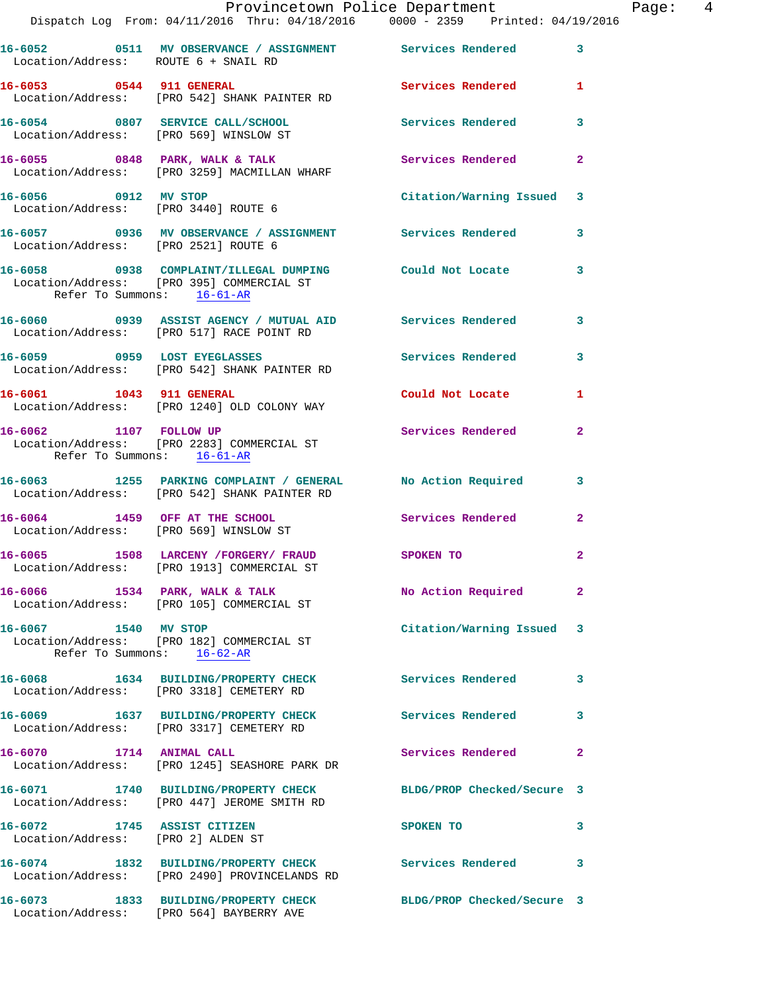|                                                                   | Dispatch Log From: 04/11/2016 Thru: 04/18/2016 0000 - 2359 Printed: 04/19/2016                                  | Provincetown Police Department | Page: $4$    |  |
|-------------------------------------------------------------------|-----------------------------------------------------------------------------------------------------------------|--------------------------------|--------------|--|
| Location/Address: ROUTE 6 + SNAIL RD                              | 16-6052 0511 MV OBSERVANCE / ASSIGNMENT Services Rendered 3                                                     |                                |              |  |
| 16-6053 0544 911 GENERAL                                          | Location/Address: [PRO 542] SHANK PAINTER RD                                                                    | Services Rendered 1            |              |  |
|                                                                   | 16-6054      0807   SERVICE CALL/SCHOOL           Services Rendered<br>Location/Address:   [PRO 569] WINSLOW ST |                                | $\mathbf{3}$ |  |
|                                                                   | 16-6055 0848 PARK, WALK & TALK 3 Services Rendered<br>Location/Address: [PRO 3259] MACMILLAN WHARF              |                                | $\mathbf{2}$ |  |
|                                                                   |                                                                                                                 | Citation/Warning Issued 3      |              |  |
| Location/Address: [PRO 2521] ROUTE 6                              | 16-6057 0936 MV OBSERVANCE / ASSIGNMENT Services Rendered                                                       |                                | 3            |  |
| Refer To Summons: 16-61-AR                                        | 16-6058 0938 COMPLAINT/ILLEGAL DUMPING Could Not Locate 3<br>Location/Address: [PRO 395] COMMERCIAL ST          |                                |              |  |
|                                                                   | 16-6060 0939 ASSIST AGENCY / MUTUAL AID Services Rendered<br>Location/Address: [PRO 517] RACE POINT RD          |                                | 3            |  |
|                                                                   | 16-6059 		 0959 LOST EYEGLASSES 		 Services Rendered 3<br>Location/Address: [PRO 542] SHANK PAINTER RD          |                                |              |  |
|                                                                   | 16-6061 1043 911 GENERAL<br>Location/Address: [PRO 1240] OLD COLONY WAY                                         | Could Not Locate               | 1            |  |
| 16-6062 1107 FOLLOW UP<br>Refer To Summons: 16-61-AR              | Location/Address: [PRO 2283] COMMERCIAL ST                                                                      | Services Rendered              | $\mathbf{2}$ |  |
|                                                                   | 16-6063 1255 PARKING COMPLAINT / GENERAL No Action Required 3<br>Location/Address: [PRO 542] SHANK PAINTER RD   |                                |              |  |
| 16-6064 1459 OFF AT THE SCHOOL                                    | Location/Address: [PRO 569] WINSLOW ST                                                                          | Services Rendered              | $\mathbf{2}$ |  |
|                                                                   | 16-6065 1508 LARCENY / FORGERY / FRAUD SPOKEN TO<br>Location/Address: [PRO 1913] COMMERCIAL ST                  |                                | $\mathbf{2}$ |  |
|                                                                   | 16-6066 1534 PARK, WALK & TALK<br>Location/Address: [PRO 105] COMMERCIAL ST                                     | No Action Required             | $\mathbf{2}$ |  |
| Refer To Summons: 16-62-AR                                        | 16-6067 1540 MV STOP<br>Location/Address: [PRO 182] COMMERCIAL ST                                               | Citation/Warning Issued 3      |              |  |
|                                                                   | 16-6068 1634 BUILDING/PROPERTY CHECK<br>Location/Address: [PRO 3318] CEMETERY RD                                | Services Rendered              | 3            |  |
|                                                                   | 16-6069 1637 BUILDING/PROPERTY CHECK<br>Location/Address: [PRO 3317] CEMETERY RD                                | Services Rendered              | 3            |  |
|                                                                   | 16-6070 1714 ANIMAL CALL<br>Location/Address: [PRO 1245] SEASHORE PARK DR                                       | Services Rendered              | $\mathbf{2}$ |  |
|                                                                   | 16-6071 1740 BUILDING/PROPERTY CHECK<br>Location/Address: [PRO 447] JEROME SMITH RD                             | BLDG/PROP Checked/Secure 3     |              |  |
| 16-6072 1745 ASSIST CITIZEN<br>Location/Address: [PRO 2] ALDEN ST |                                                                                                                 | SPOKEN TO                      | 3            |  |
|                                                                   | 16-6074 1832 BUILDING/PROPERTY CHECK Services Rendered 3<br>Location/Address: [PRO 2490] PROVINCELANDS RD       |                                |              |  |
|                                                                   | 16-6073 1833 BUILDING/PROPERTY CHECK                                                                            | BLDG/PROP Checked/Secure 3     |              |  |

Location/Address: [PRO 564] BAYBERRY AVE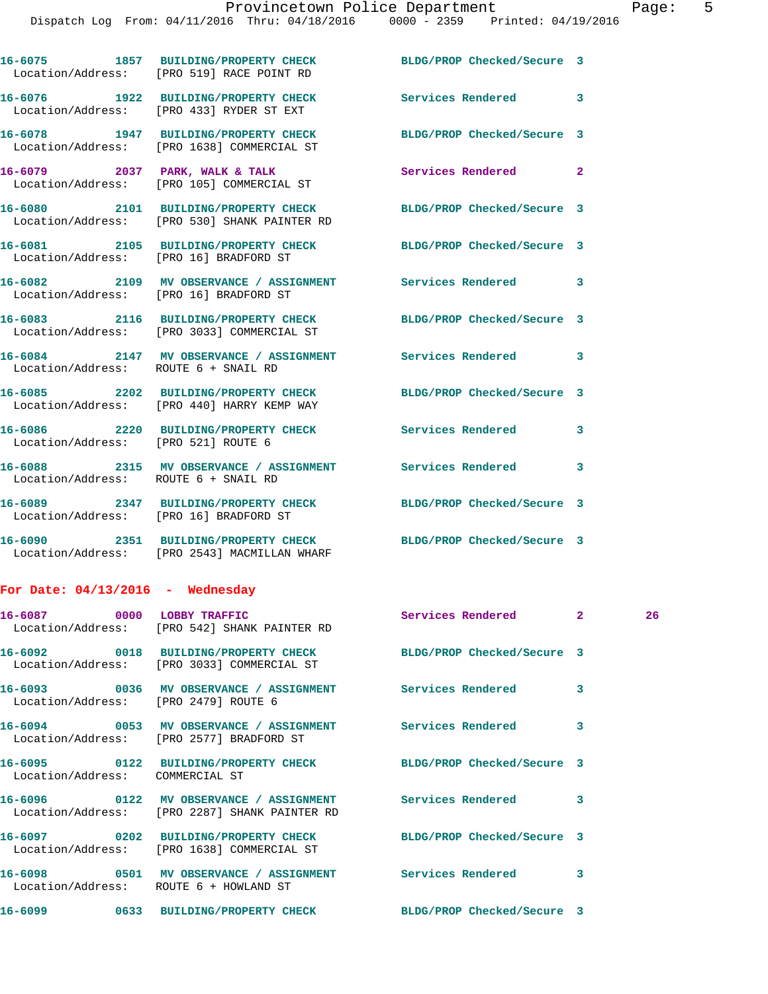**16-6075 1857 BUILDING/PROPERTY CHECK BLDG/PROP Checked/Secure 3**  Location/Address: [PRO 519] RACE POINT RD **16-6076 1922 BUILDING/PROPERTY CHECK Services Rendered 3**  Location/Address: [PRO 433] RYDER ST EXT **16-6078 1947 BUILDING/PROPERTY CHECK BLDG/PROP Checked/Secure 3**  Location/Address: [PRO 1638] COMMERCIAL ST 16-6079 2037 PARK, WALK & TALK **Services Rendered** 2 Location/Address: [PRO 105] COMMERCIAL ST **16-6080 2101 BUILDING/PROPERTY CHECK BLDG/PROP Checked/Secure 3**  Location/Address: [PRO 530] SHANK PAINTER RD **16-6081 2105 BUILDING/PROPERTY CHECK BLDG/PROP Checked/Secure 3**  Location/Address: [PRO 16] BRADFORD ST **16-6082 2109 MV OBSERVANCE / ASSIGNMENT Services Rendered 3**  Location/Address: [PRO 16] BRADFORD ST **16-6083 2116 BUILDING/PROPERTY CHECK BLDG/PROP Checked/Secure 3**  Location/Address: [PRO 3033] COMMERCIAL ST **16-6084 2147 MV OBSERVANCE / ASSIGNMENT Services Rendered 3**  Location/Address: ROUTE 6 + SNAIL RD **16-6085 2202 BUILDING/PROPERTY CHECK BLDG/PROP Checked/Secure 3**  Location/Address: [PRO 440] HARRY KEMP WAY **16-6086 2220 BUILDING/PROPERTY CHECK Services Rendered 3**  Location/Address: [PRO 521] ROUTE 6 **16-6088 2315 MV OBSERVANCE / ASSIGNMENT Services Rendered 3**  Location/Address: ROUTE 6 + SNAIL RD **16-6089 2347 BUILDING/PROPERTY CHECK BLDG/PROP Checked/Secure 3**  Location/Address: [PRO 16] BRADFORD ST **16-6090 2351 BUILDING/PROPERTY CHECK BLDG/PROP Checked/Secure 3**  Location/Address: [PRO 2543] MACMILLAN WHARF **For Date: 04/13/2016 - Wednesday**

**16-6087 0000 LOBBY TRAFFIC Services Rendered 2 26**  Location/Address: [PRO 542] SHANK PAINTER RD **16-6092 0018 BUILDING/PROPERTY CHECK BLDG/PROP Checked/Secure 3**  Location/Address: [PRO 3033] COMMERCIAL ST **16-6093 0036 MV OBSERVANCE / ASSIGNMENT Services Rendered 3**  Location/Address: [PRO 2479] ROUTE 6 **16-6094 0053 MV OBSERVANCE / ASSIGNMENT Services Rendered 3**  Location/Address: [PRO 2577] BRADFORD ST **16-6095 0122 BUILDING/PROPERTY CHECK BLDG/PROP Checked/Secure 3**  Location/Address: COMMERCIAL ST **16-6096 0122 MV OBSERVANCE / ASSIGNMENT Services Rendered 3**  Location/Address: [PRO 2287] SHANK PAINTER RD **16-6097 0202 BUILDING/PROPERTY CHECK BLDG/PROP Checked/Secure 3**  Location/Address: [PRO 1638] COMMERCIAL ST **16-6098 0501 MV OBSERVANCE / ASSIGNMENT Services Rendered 3**  Location/Address: ROUTE 6 + HOWLAND ST **16-6099 0633 BUILDING/PROPERTY CHECK BLDG/PROP Checked/Secure 3**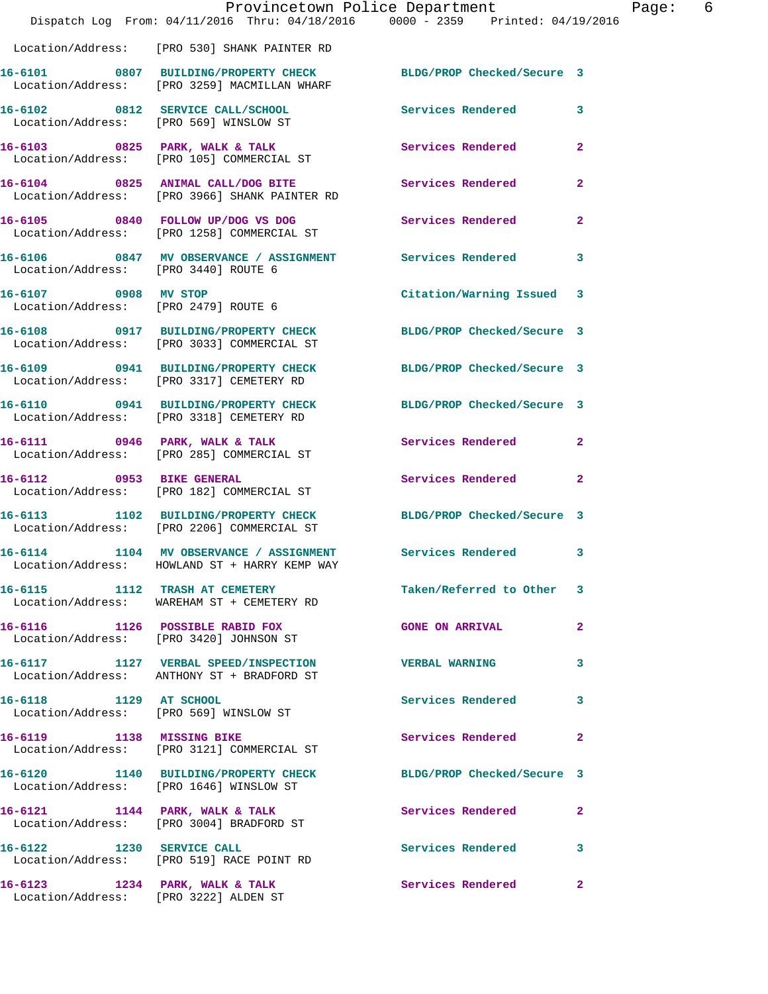|                                                                         | Provincetown Police Department<br>Dispatch Log From: 04/11/2016 Thru: 04/18/2016 0000 - 2359 Printed: 04/19/2016 |                            |                |
|-------------------------------------------------------------------------|------------------------------------------------------------------------------------------------------------------|----------------------------|----------------|
|                                                                         | Location/Address: [PRO 530] SHANK PAINTER RD                                                                     |                            |                |
|                                                                         | 16-6101 0807 BUILDING/PROPERTY CHECK<br>Location/Address: [PRO 3259] MACMILLAN WHARF                             | BLDG/PROP Checked/Secure 3 |                |
| Location/Address: [PRO 569] WINSLOW ST                                  | 16-6102 0812 SERVICE CALL/SCHOOL                                                                                 | <b>Services Rendered</b>   | 3              |
|                                                                         | 16-6103 0825 PARK, WALK & TALK<br>Location/Address: [PRO 105] COMMERCIAL ST                                      | Services Rendered          | $\overline{2}$ |
|                                                                         | 16-6104 0825 ANIMAL CALL/DOG BITE<br>Location/Address: [PRO 3966] SHANK PAINTER RD                               | <b>Services Rendered</b>   | $\mathbf{2}$   |
|                                                                         | 16-6105 0840 FOLLOW UP/DOG VS DOG<br>Location/Address: [PRO 1258] COMMERCIAL ST                                  | Services Rendered          | $\mathbf{2}$   |
| Location/Address: [PRO 3440] ROUTE 6                                    | 16-6106 0847 MV OBSERVANCE / ASSIGNMENT Services Rendered                                                        |                            | 3              |
| 16-6107 0908 MV STOP                                                    | Location/Address: [PRO 2479] ROUTE 6                                                                             | Citation/Warning Issued    | 3              |
|                                                                         | 16-6108 0917 BUILDING/PROPERTY CHECK BLDG/PROP Checked/Secure 3<br>Location/Address: [PRO 3033] COMMERCIAL ST    |                            |                |
|                                                                         | 16-6109 0941 BUILDING/PROPERTY CHECK<br>Location/Address: [PRO 3317] CEMETERY RD                                 | BLDG/PROP Checked/Secure 3 |                |
|                                                                         | 16-6110 0941 BUILDING/PROPERTY CHECK<br>Location/Address: [PRO 3318] CEMETERY RD                                 | BLDG/PROP Checked/Secure 3 |                |
|                                                                         | 16-6111 0946 PARK, WALK & TALK<br>Location/Address: [PRO 285] COMMERCIAL ST                                      | Services Rendered          | 2              |
|                                                                         | 16-6112 0953 BIKE GENERAL<br>Location/Address: [PRO 182] COMMERCIAL ST                                           | Services Rendered          | 2              |
|                                                                         | 16-6113 1102 BUILDING/PROPERTY CHECK<br>Location/Address: [PRO 2206] COMMERCIAL ST                               | BLDG/PROP Checked/Secure 3 |                |
|                                                                         | 16-6114 1104 MV OBSERVANCE / ASSIGNMENT Services Rendered<br>Location/Address: HOWLAND ST + HARRY KEMP WAY       |                            | 3              |
| 16-6115 1112 TRASH AT CEMETERY                                          | Location/Address: WAREHAM ST + CEMETERY RD                                                                       | Taken/Referred to Other    | 3              |
|                                                                         | 16-6116 1126 POSSIBLE RABID FOX<br>Location/Address: [PRO 3420] JOHNSON ST                                       | <b>GONE ON ARRIVAL</b>     | 2              |
|                                                                         | 16-6117 1127 VERBAL SPEED/INSPECTION<br>Location/Address: ANTHONY ST + BRADFORD ST                               | <b>VERBAL WARNING</b>      | 3              |
| 16-6118 1129 AT SCHOOL                                                  | Location/Address: [PRO 569] WINSLOW ST                                                                           | Services Rendered          | 3              |
| 16-6119 1138 MISSING BIKE                                               | Location/Address: [PRO 3121] COMMERCIAL ST                                                                       | Services Rendered          | $\mathbf{2}$   |
|                                                                         | 16-6120 1140 BUILDING/PROPERTY CHECK BLDG/PROP Checked/Secure 3<br>Location/Address: [PRO 1646] WINSLOW ST       |                            |                |
|                                                                         | 16-6121 1144 PARK, WALK & TALK<br>Location/Address: [PRO 3004] BRADFORD ST                                       | Services Rendered          | 2              |
|                                                                         | 16-6122 1230 SERVICE CALL<br>Location/Address: [PRO 519] RACE POINT RD                                           | <b>Services Rendered</b>   | 3              |
| 16-6123 1234 PARK, WALK & TALK<br>Location/Address: [PRO 3222] ALDEN ST |                                                                                                                  | Services Rendered          | 2              |

Page: 6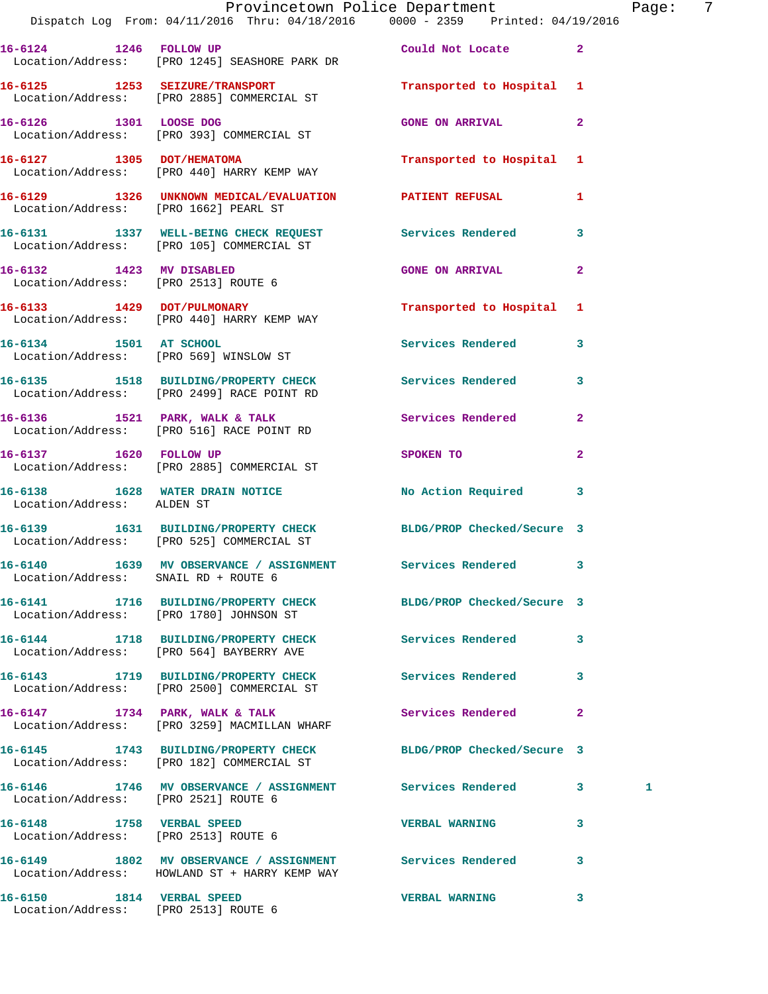|                                                                   | Provincetown Police Department The Page: 7<br>Dispatch Log From: 04/11/2016 Thru: 04/18/2016   0000 - 2359   Printed: 04/19/2016 |                                                                                                               |              |   |  |
|-------------------------------------------------------------------|----------------------------------------------------------------------------------------------------------------------------------|---------------------------------------------------------------------------------------------------------------|--------------|---|--|
|                                                                   | 16-6124 1246 FOLLOW UP Could Not Locate 2<br>Location/Address: [PRO 1245] SEASHORE PARK DR                                       |                                                                                                               |              |   |  |
|                                                                   | 16-6125 1253 SEIZURE/TRANSPORT <b>1253</b> Transported to Hospital 1<br>Location/Address: [PRO 2885] COMMERCIAL ST               |                                                                                                               |              |   |  |
|                                                                   | 16-6126 1301 LOOSE DOG<br>Location/Address: [PRO 393] COMMERCIAL ST                                                              | <b>GONE ON ARRIVAL</b>                                                                                        | 2            |   |  |
|                                                                   | 16-6127 1305 DOT/HEMATOMA<br>Location/Address: [PRO 440] HARRY KEMP WAY                                                          | Transported to Hospital 1                                                                                     |              |   |  |
|                                                                   | 16-6129      1326   UNKNOWN MEDICAL/EVALUATION       PATIENT REFUSAL<br>Location/Address:   [PRO 1662] PEARL ST                  |                                                                                                               | 1            |   |  |
|                                                                   | 16-6131 1337 WELL-BEING CHECK REQUEST Services Rendered<br>Location/Address: [PRO 105] COMMERCIAL ST                             |                                                                                                               | 3            |   |  |
| 16-6132 1423 MV DISABLED                                          | Location/Address: [PRO 2513] ROUTE 6                                                                                             | <b>GONE ON ARRIVAL</b>                                                                                        | $\mathbf{2}$ |   |  |
|                                                                   | 16-6133 1429 DOT/PULMONARY<br>Location/Address: [PRO 440] HARRY KEMP WAY                                                         | Transported to Hospital 1                                                                                     |              |   |  |
|                                                                   | 16-6134 1501 AT SCHOOL<br>Location/Address: [PRO 569] WINSLOW ST                                                                 | Services Rendered 3                                                                                           |              |   |  |
|                                                                   | 16-6135 1518 BUILDING/PROPERTY CHECK Services Rendered<br>Location/Address: [PRO 2499] RACE POINT RD                             |                                                                                                               | 3            |   |  |
|                                                                   | 16-6136 1521 PARK, WALK & TALK 1999 Services Rendered<br>Location/Address: [PRO 516] RACE POINT RD                               |                                                                                                               | $\mathbf{2}$ |   |  |
|                                                                   | 16-6137 1620 FOLLOW UP<br>Location/Address: [PRO 2885] COMMERCIAL ST                                                             | SPOKEN TO AND TO A STATE OF THE STATE OF THE STATE OF THE STATE OF THE STATE OF THE STATE OF THE STATE OF THE | $\mathbf{2}$ |   |  |
| Location/Address: ALDEN ST                                        | 16-6138 1628 WATER DRAIN NOTICE No Action Required 3                                                                             |                                                                                                               |              |   |  |
|                                                                   | 16-6139 1631 BUILDING/PROPERTY CHECK BLDG/PROP Checked/Secure 3<br>Location/Address: [PRO 525] COMMERCIAL ST                     |                                                                                                               |              |   |  |
| Location/Address: SNAIL RD + ROUTE 6                              | 16-6140 1639 MV OBSERVANCE / ASSIGNMENT Services Rendered                                                                        |                                                                                                               |              |   |  |
|                                                                   | 16-6141 1716 BUILDING/PROPERTY CHECK BLDG/PROP Checked/Secure 3<br>Location/Address: [PRO 1780] JOHNSON ST                       |                                                                                                               |              |   |  |
|                                                                   | 16-6144 1718 BUILDING/PROPERTY CHECK<br>Location/Address: [PRO 564] BAYBERRY AVE                                                 | Services Rendered                                                                                             | 3            |   |  |
|                                                                   | 16-6143 1719 BUILDING/PROPERTY CHECK Services Rendered<br>Location/Address: [PRO 2500] COMMERCIAL ST                             |                                                                                                               | 3            |   |  |
|                                                                   | 16-6147 1734 PARK, WALK & TALK<br>Location/Address: [PRO 3259] MACMILLAN WHARF                                                   | <b>Services Rendered</b>                                                                                      | $\mathbf{2}$ |   |  |
|                                                                   | 16-6145 1743 BUILDING/PROPERTY CHECK<br>Location/Address: [PRO 182] COMMERCIAL ST                                                | BLDG/PROP Checked/Secure 3                                                                                    |              |   |  |
| Location/Address: [PRO 2521] ROUTE 6                              | 16-6146 1746 MV OBSERVANCE / ASSIGNMENT Services Rendered 3                                                                      |                                                                                                               |              | 1 |  |
| 16-6148 1758 VERBAL SPEED<br>Location/Address: [PRO 2513] ROUTE 6 |                                                                                                                                  | <b>VERBAL WARNING</b>                                                                                         | 3            |   |  |
|                                                                   | 16-6149 1802 MV OBSERVANCE / ASSIGNMENT Services Rendered<br>Location/Address: HOWLAND ST + HARRY KEMP WAY                       |                                                                                                               | 3            |   |  |
| 16-6150 1814 VERBAL SPEED                                         |                                                                                                                                  | <b>VERBAL WARNING</b>                                                                                         | 3            |   |  |

Location/Address: [PRO 2513] ROUTE 6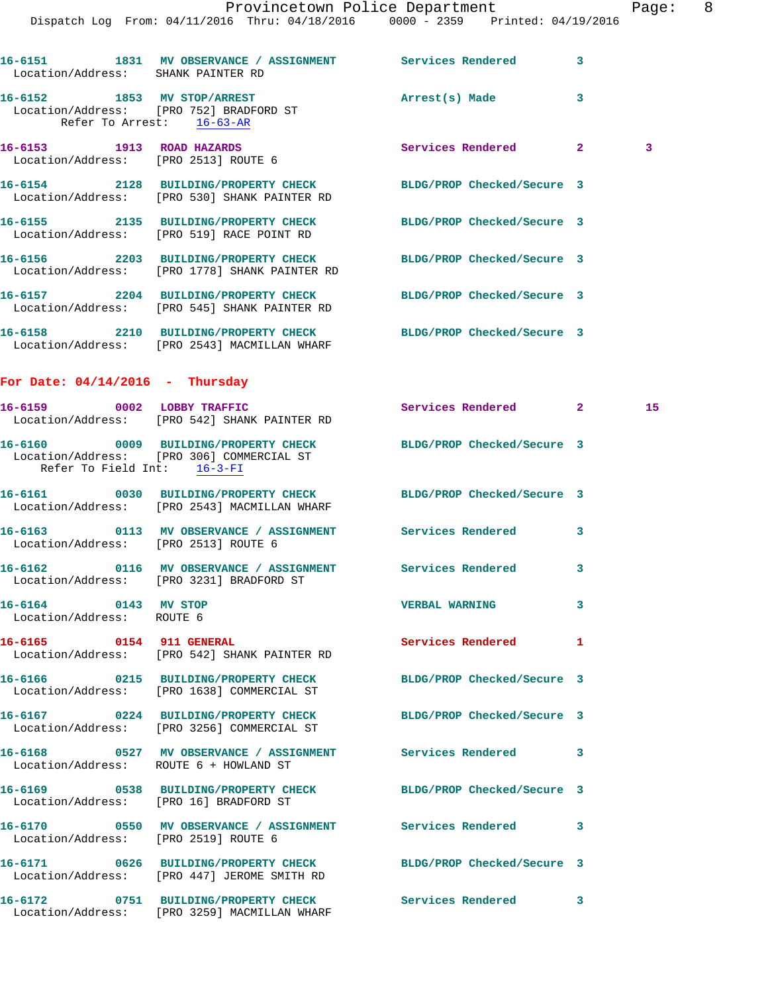| Location/Address: SHANK PAINTER RD                | 16-6151 1831 MV OBSERVANCE / ASSIGNMENT Services Rendered                                                       |                            | 3 |    |
|---------------------------------------------------|-----------------------------------------------------------------------------------------------------------------|----------------------------|---|----|
|                                                   | 16-6152 1853 MV STOP/ARREST<br>Location/Address: [PRO 752] BRADFORD ST<br>Refer To Arrest: 16-63-AR             | Arrest(s) Made             | 3 |    |
|                                                   | 16-6153 1913 ROAD HAZARDS<br>Location/Address: [PRO 2513] ROUTE 6                                               | Services Rendered 2        |   | 3  |
|                                                   | 16-6154 2128 BUILDING/PROPERTY CHECK BLDG/PROP Checked/Secure 3<br>Location/Address: [PRO 530] SHANK PAINTER RD |                            |   |    |
|                                                   | 16-6155 2135 BUILDING/PROPERTY CHECK<br>Location/Address: [PRO 519] RACE POINT RD                               | BLDG/PROP Checked/Secure 3 |   |    |
|                                                   | 16-6156 2203 BUILDING/PROPERTY CHECK<br>Location/Address: [PRO 1778] SHANK PAINTER RD                           | BLDG/PROP Checked/Secure 3 |   |    |
|                                                   | 16-6157 2204 BUILDING/PROPERTY CHECK<br>Location/Address: [PRO 545] SHANK PAINTER RD                            | BLDG/PROP Checked/Secure 3 |   |    |
|                                                   | 16-6158 2210 BUILDING/PROPERTY CHECK<br>Location/Address: [PRO 2543] MACMILLAN WHARF                            | BLDG/PROP Checked/Secure 3 |   |    |
| For Date: $04/14/2016$ - Thursday                 |                                                                                                                 |                            |   |    |
|                                                   | 16-6159 0002 LOBBY TRAFFIC<br>Location/Address: [PRO 542] SHANK PAINTER RD                                      | Services Rendered 2        |   | 15 |
| Refer To Field Int: 16-3-FI                       | 16-6160 0009 BUILDING/PROPERTY CHECK BLDG/PROP Checked/Secure 3<br>Location/Address: [PRO 306] COMMERCIAL ST    |                            |   |    |
|                                                   | 16-6161 0030 BUILDING/PROPERTY CHECK BLDG/PROP Checked/Secure 3<br>Location/Address: [PRO 2543] MACMILLAN WHARF |                            |   |    |
|                                                   | 16-6163 0113 MV OBSERVANCE / ASSIGNMENT Services Rendered<br>Location/Address: [PRO 2513] ROUTE 6               |                            | 3 |    |
|                                                   | 16-6162 0116 MV OBSERVANCE / ASSIGNMENT Services Rendered<br>Location/Address: [PRO 3231] BRADFORD ST           |                            | 3 |    |
| 16-6164 0143 MV STOP<br>Location/Address: ROUTE 6 |                                                                                                                 | <b>VERBAL WARNING</b>      | 3 |    |
| 16-6165 0154 911 GENERAL                          | Location/Address: [PRO 542] SHANK PAINTER RD                                                                    | Services Rendered          | 1 |    |
|                                                   | 16-6166 0215 BUILDING/PROPERTY CHECK<br>Location/Address: [PRO 1638] COMMERCIAL ST                              | BLDG/PROP Checked/Secure 3 |   |    |
|                                                   | 16-6167 0224 BUILDING/PROPERTY CHECK<br>Location/Address: [PRO 3256] COMMERCIAL ST                              | BLDG/PROP Checked/Secure 3 |   |    |
|                                                   | 16-6168 0527 MV OBSERVANCE / ASSIGNMENT Services Rendered<br>Location/Address: ROUTE 6 + HOWLAND ST             |                            | 3 |    |
|                                                   | 16-6169 0538 BUILDING/PROPERTY CHECK BLDG/PROP Checked/Secure 3<br>Location/Address: [PRO 16] BRADFORD ST       |                            |   |    |
| Location/Address: [PRO 2519] ROUTE 6              | 16-6170 0550 MV OBSERVANCE / ASSIGNMENT Services Rendered                                                       |                            | 3 |    |
|                                                   | 16-6171 0626 BUILDING/PROPERTY CHECK BLDG/PROP Checked/Secure 3<br>Location/Address: [PRO 447] JEROME SMITH RD  |                            |   |    |
|                                                   | 16-6172 0751 BUILDING/PROPERTY CHECK<br>Location/Address: [PRO 3259] MACMILLAN WHARF                            | <b>Services Rendered</b>   | 3 |    |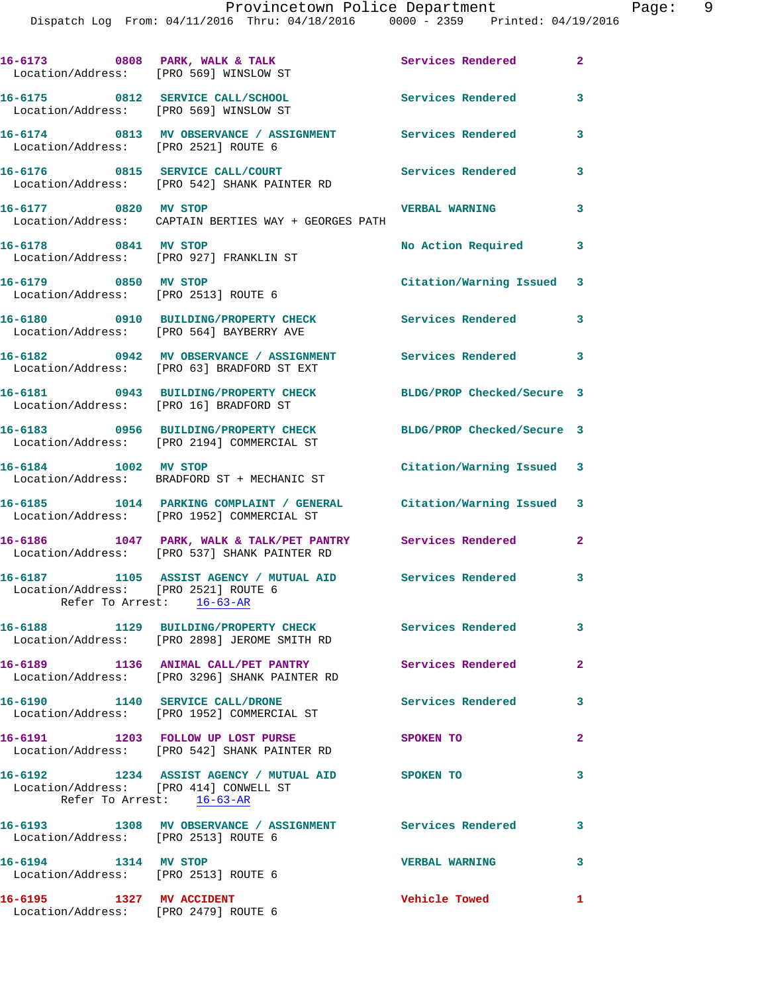| 16-6173 0808 PARK, WALK & TALK<br>Location/Address: [PRO 569] WINSLOW ST   |                                                                                                                  | Services Rendered          | $\mathbf{2}$               |
|----------------------------------------------------------------------------|------------------------------------------------------------------------------------------------------------------|----------------------------|----------------------------|
| 16-6175 0812 SERVICE CALL/SCHOOL<br>Location/Address: [PRO 569] WINSLOW ST |                                                                                                                  | <b>Services Rendered</b>   | 3                          |
| Location/Address: [PRO 2521] ROUTE 6                                       | 16-6174 0813 MV OBSERVANCE / ASSIGNMENT Services Rendered                                                        |                            | 3                          |
|                                                                            | 16-6176 0815 SERVICE CALL/COURT<br>Location/Address: [PRO 542] SHANK PAINTER RD                                  | <b>Services Rendered</b>   | 3                          |
| 16-6177 0820 MV STOP                                                       | Location/Address: CAPTAIN BERTIES WAY + GEORGES PATH                                                             | <b>VERBAL WARNING</b>      | 3                          |
| 16-6178 0841 MV STOP                                                       | Location/Address: [PRO 927] FRANKLIN ST                                                                          | No Action Required         | $\mathbf{3}$               |
| 16-6179 0850 MV STOP<br>Location/Address: [PRO 2513] ROUTE 6               |                                                                                                                  | Citation/Warning Issued 3  |                            |
|                                                                            | 16-6180 0910 BUILDING/PROPERTY CHECK<br>Location/Address: [PRO 564] BAYBERRY AVE                                 | Services Rendered          | 3                          |
|                                                                            | 16-6182 0942 MV OBSERVANCE / ASSIGNMENT<br>Location/Address: [PRO 63] BRADFORD ST EXT                            | <b>Services Rendered</b>   | $\overline{\phantom{a}}$ 3 |
| Location/Address: [PRO 16] BRADFORD ST                                     | 16-6181 0943 BUILDING/PROPERTY CHECK                                                                             | BLDG/PROP Checked/Secure 3 |                            |
|                                                                            | 16-6183 0956 BUILDING/PROPERTY CHECK<br>Location/Address: [PRO 2194] COMMERCIAL ST                               | BLDG/PROP Checked/Secure 3 |                            |
| 16-6184 1002 MV STOP                                                       | Location/Address: BRADFORD ST + MECHANIC ST                                                                      | Citation/Warning Issued 3  |                            |
|                                                                            | 16-6185 1014 PARKING COMPLAINT / GENERAL Citation/Warning Issued 3<br>Location/Address: [PRO 1952] COMMERCIAL ST |                            |                            |
|                                                                            | 16-6186 1047 PARK, WALK & TALK/PET PANTRY Services Rendered<br>Location/Address: [PRO 537] SHANK PAINTER RD      |                            | $\mathbf{2}$               |
| Location/Address: [PRO 2521] ROUTE 6<br>Refer To Arrest: 16-63-AR          | 16-6187 1105 ASSIST AGENCY / MUTUAL AID Services Rendered                                                        |                            | $\overline{\mathbf{3}}$    |
|                                                                            | 16-6188 1129 BUILDING/PROPERTY CHECK Services Rendered<br>Location/Address: [PRO 2898] JEROME SMITH RD           |                            | $\mathbf{3}$               |
|                                                                            | 16-6189 1136 ANIMAL CALL/PET PANTRY<br>Location/Address: [PRO 3296] SHANK PAINTER RD                             | <b>Services Rendered</b>   | $\mathbf{2}$               |
|                                                                            | 16-6190 1140 SERVICE CALL/DRONE<br>Location/Address: [PRO 1952] COMMERCIAL ST                                    | <b>Services Rendered</b>   | 3                          |
|                                                                            | 16-6191 1203 FOLLOW UP LOST PURSE<br>Location/Address: [PRO 542] SHANK PAINTER RD                                | SPOKEN TO                  | $\overline{2}$             |
| Location/Address: [PRO 414] CONWELL ST<br>Refer To Arrest: 16-63-AR        | 16-6192 1234 ASSIST AGENCY / MUTUAL AID SPOKEN TO                                                                |                            | 3                          |
| Location/Address: [PRO 2513] ROUTE 6                                       | 16-6193 1308 MV OBSERVANCE / ASSIGNMENT Services Rendered 3                                                      |                            |                            |
| 16-6194 1314 MV STOP<br>Location/Address: [PRO 2513] ROUTE 6               |                                                                                                                  | <b>VERBAL WARNING</b>      | 3                          |
| 16-6195 1327 MV ACCIDENT<br>Location/Address: [PRO 2479] ROUTE 6           |                                                                                                                  | <b>Vehicle Towed</b>       | 1                          |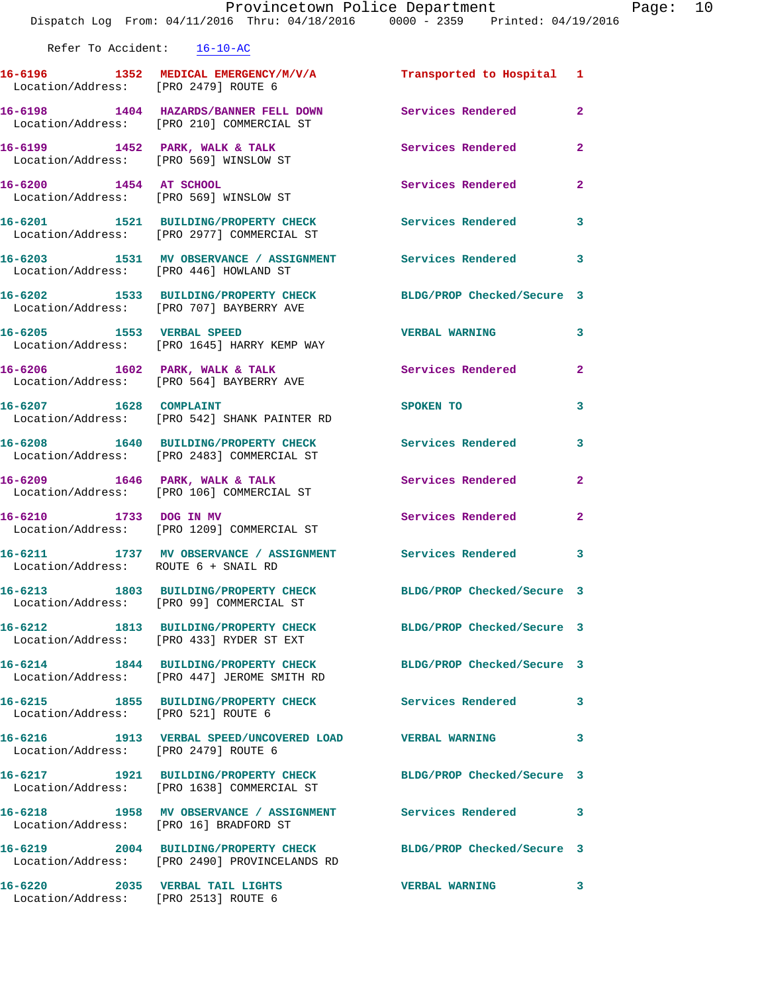Refer To Accident: 16-10-AC

Location/Address: [PRO 2513] ROUTE 6

**16-6196 1352 MEDICAL EMERGENCY/M/V/A Transported to Hospital 1**  Location/Address: [PRO 2479] ROUTE 6 **16-6198 1404 HAZARDS/BANNER FELL DOWN Services Rendered 2**  Location/Address: [PRO 210] COMMERCIAL ST **16-6199 1452 PARK, WALK & TALK Services Rendered 2**  Location/Address: [PRO 569] WINSLOW ST **16-6200 1454 AT SCHOOL Services Rendered 2**  Location/Address: [PRO 569] WINSLOW ST **16-6201 1521 BUILDING/PROPERTY CHECK Services Rendered 3**  Location/Address: [PRO 2977] COMMERCIAL ST **16-6203 1531 MV OBSERVANCE / ASSIGNMENT Services Rendered 3**  Location/Address: [PRO 446] HOWLAND ST **16-6202 1533 BUILDING/PROPERTY CHECK BLDG/PROP Checked/Secure 3**  Location/Address: [PRO 707] BAYBERRY AVE **16-6205 1553 VERBAL SPEED VERBAL WARNING 3**  Location/Address: [PRO 1645] HARRY KEMP WAY **16-6206 1602 PARK, WALK & TALK Services Rendered 2**  Location/Address: [PRO 564] BAYBERRY AVE **16-6207** 1628 COMPLAINT SPOKEN TO 3 Location/Address: [PRO 542] SHANK PAINTER RD **16-6208 1640 BUILDING/PROPERTY CHECK Services Rendered 3**  Location/Address: [PRO 2483] COMMERCIAL ST **16-6209 1646 PARK, WALK & TALK Services Rendered 2**  Location/Address: [PRO 106] COMMERCIAL ST 16-6210 1733 DOG IN MV Services Rendered 2 Location/Address: [PRO 1209] COMMERCIAL ST **16-6211 1737 MV OBSERVANCE / ASSIGNMENT Services Rendered 3**  Location/Address: ROUTE 6 + SNAIL RD **16-6213 1803 BUILDING/PROPERTY CHECK BLDG/PROP Checked/Secure 3**  Location/Address: [PRO 99] COMMERCIAL ST **16-6212 1813 BUILDING/PROPERTY CHECK BLDG/PROP Checked/Secure 3**  Location/Address: [PRO 433] RYDER ST EXT **16-6214 1844 BUILDING/PROPERTY CHECK BLDG/PROP Checked/Secure 3**  Location/Address: [PRO 447] JEROME SMITH RD **16-6215 1855 BUILDING/PROPERTY CHECK Services Rendered 3**  Location/Address: [PRO 521] ROUTE 6 **16-6216 1913 VERBAL SPEED/UNCOVERED LOAD VERBAL WARNING 3**  Location/Address: [PRO 2479] ROUTE 6 **16-6217 1921 BUILDING/PROPERTY CHECK BLDG/PROP Checked/Secure 3**  Location/Address: [PRO 1638] COMMERCIAL ST **16-6218 1958 MV OBSERVANCE / ASSIGNMENT Services Rendered 3**  Location/Address: [PRO 16] BRADFORD ST **16-6219 2004 BUILDING/PROPERTY CHECK BLDG/PROP Checked/Secure 3**  Location/Address: [PRO 2490] PROVINCELANDS RD **16-6220 2035 VERBAL TAIL LIGHTS VERBAL WARNING 3**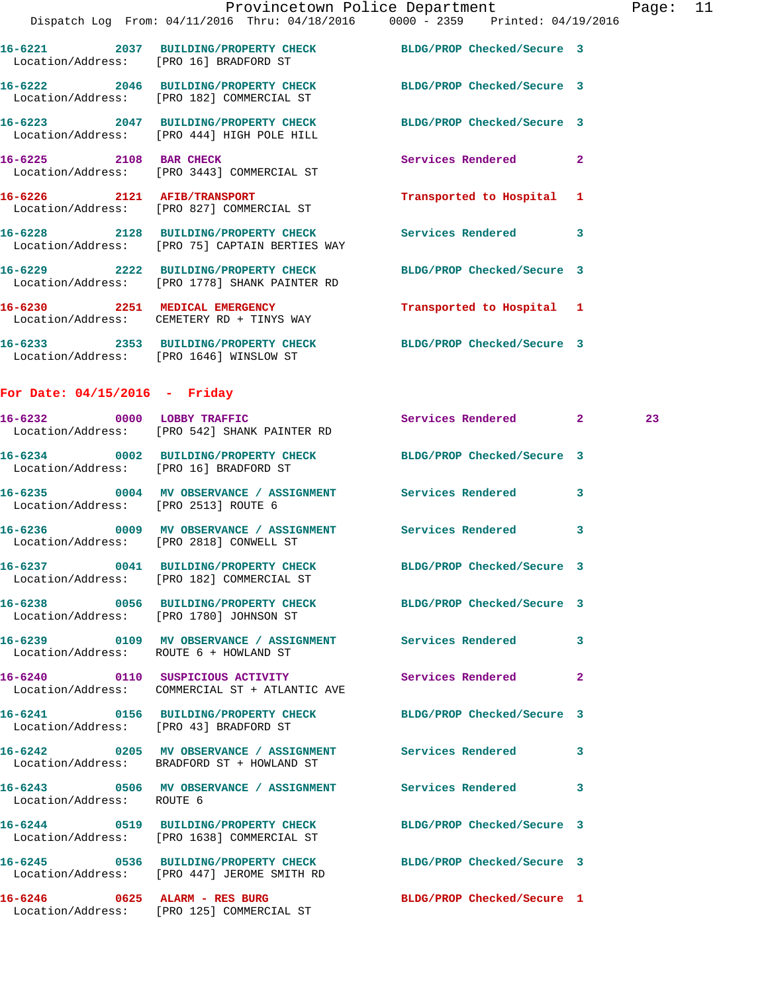|                        |                                                                                                              | Provincetown Police Department                                                 | Page: 11 |  |
|------------------------|--------------------------------------------------------------------------------------------------------------|--------------------------------------------------------------------------------|----------|--|
|                        |                                                                                                              | Dispatch Log From: 04/11/2016 Thru: 04/18/2016 0000 - 2359 Printed: 04/19/2016 |          |  |
|                        | 16-6221 2037 BUILDING/PROPERTY CHECK BLDG/PROP Checked/Secure 3<br>Location/Address: [PRO 16] BRADFORD ST    |                                                                                |          |  |
|                        | 16-6222 2046 BUILDING/PROPERTY CHECK BLDG/PROP Checked/Secure 3<br>Location/Address: [PRO 182] COMMERCIAL ST |                                                                                |          |  |
|                        | 16-6223 2047 BUILDING/PROPERTY CHECK<br>Location/Address: [PRO 444] HIGH POLE HILL                           | BLDG/PROP Checked/Secure 3                                                     |          |  |
| 16-6225 2108 BAR CHECK | Location/Address: [PRO 3443] COMMERCIAL ST                                                                   | Services Rendered<br>$\overline{2}$                                            |          |  |
|                        | 16-6226 2121 AFIB/TRANSPORT<br>Location/Address: [PRO 827] COMMERCIAL ST                                     | Transported to Hospital 1                                                      |          |  |
|                        | 16-6228 2128 BUILDING/PROPERTY CHECK<br>Location/Address: [PRO 75] CAPTAIN BERTIES WAY                       | 3<br><b>Services Rendered</b>                                                  |          |  |
| 16-6229                | 2222 BUILDING/PROPERTY CHECK                                                                                 | BLDG/PROP Checked/Secure 3                                                     |          |  |

 Location/Address: [PRO 1778] SHANK PAINTER RD **16-6230 2251 MEDICAL EMERGENCY Transported to Hospital 1**  Location/Address: CEMETERY RD + TINYS WAY

**16-6233 2353 BUILDING/PROPERTY CHECK BLDG/PROP Checked/Secure 3**  Location/Address: [PRO 1646] WINSLOW ST

## **For Date: 04/15/2016 - Friday**

|                                      | 16-6232 0000 LOBBY TRAFFIC Services Rendered 2<br>Location/Address: [PRO 542] SHANK PAINTER RD                 |                            |              | 23 |
|--------------------------------------|----------------------------------------------------------------------------------------------------------------|----------------------------|--------------|----|
|                                      | 16-6234 0002 BUILDING/PROPERTY CHECK BLDG/PROP Checked/Secure 3<br>Location/Address: [PRO 16] BRADFORD ST      |                            |              |    |
| Location/Address: [PRO 2513] ROUTE 6 | 16-6235 0004 MV OBSERVANCE / ASSIGNMENT Services Rendered                                                      |                            | $\mathbf{3}$ |    |
|                                      | 16-6236 6009 MV OBSERVANCE / ASSIGNMENT Services Rendered 3<br>Location/Address: [PRO 2818] CONWELL ST         |                            |              |    |
|                                      | 16-6237 0041 BUILDING/PROPERTY CHECK BLDG/PROP Checked/Secure 3<br>Location/Address: [PRO 182] COMMERCIAL ST   |                            |              |    |
|                                      | 16-6238 0056 BUILDING/PROPERTY CHECK BLDG/PROP Checked/Secure 3<br>Location/Address: [PRO 1780] JOHNSON ST     |                            |              |    |
|                                      | 16-6239 0109 MV OBSERVANCE / ASSIGNMENT Services Rendered 3<br>Location/Address: ROUTE 6 + HOWLAND ST          |                            |              |    |
|                                      | 16-6240  0110  SUSPICIOUS ACTIVITY  Services Rendered<br>Location/Address: COMMERCIAL ST + ATLANTIC AVE        |                            | $\mathbf{2}$ |    |
|                                      | 16-6241 0156 BUILDING/PROPERTY CHECK BLDG/PROP Checked/Secure 3<br>Location/Address: [PRO 43] BRADFORD ST      |                            |              |    |
|                                      | 16-6242 0205 MV OBSERVANCE / ASSIGNMENT Services Rendered<br>Location/Address: BRADFORD ST + HOWLAND ST        |                            | $\mathbf{3}$ |    |
| Location/Address: ROUTE 6            | 16-6243 0506 MV OBSERVANCE / ASSIGNMENT Services Rendered 3                                                    |                            |              |    |
|                                      | 16-6244 0519 BUILDING/PROPERTY CHECK BLDG/PROP Checked/Secure 3<br>Location/Address: [PRO 1638] COMMERCIAL ST  |                            |              |    |
|                                      | 16-6245 0536 BUILDING/PROPERTY CHECK BLDG/PROP Checked/Secure 3<br>Location/Address: [PRO 447] JEROME SMITH RD |                            |              |    |
|                                      | $16-6246$ 0625 ALARM - RES BURG<br>Location/Address: [PRO 125] COMMERCIAL ST                                   | BLDG/PROP Checked/Secure 1 |              |    |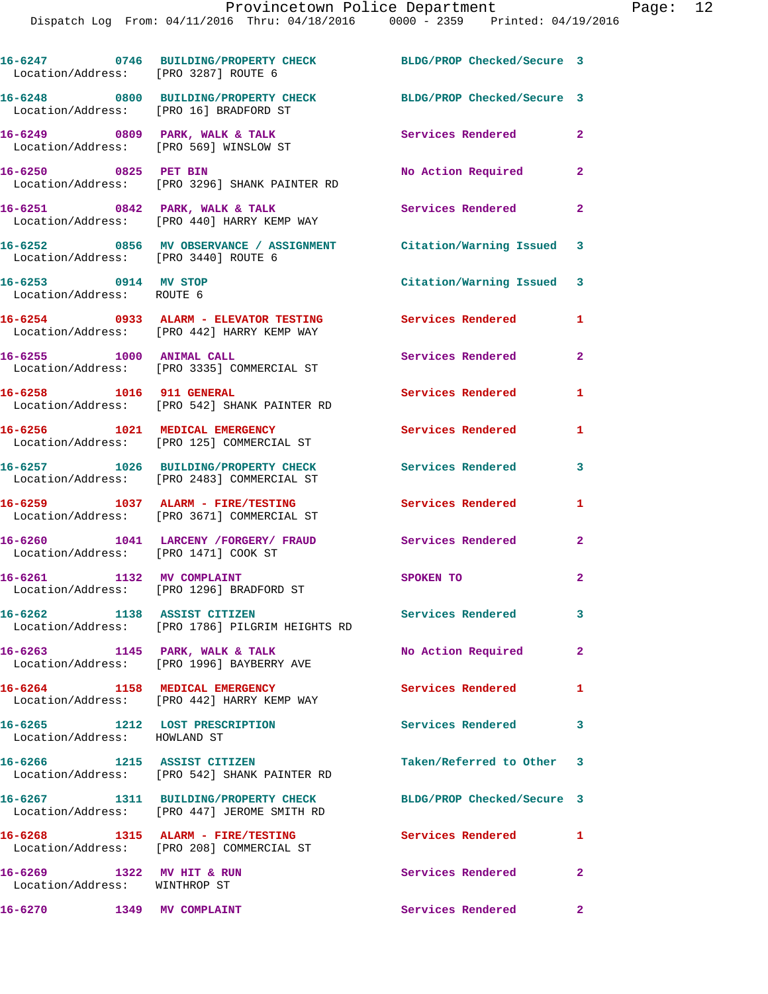| Location/Address: [PRO 3287] ROUTE 6                           | 16-6247 0746 BUILDING/PROPERTY CHECK BLDG/PROP Checked/Secure 3                                       |                            |                |
|----------------------------------------------------------------|-------------------------------------------------------------------------------------------------------|----------------------------|----------------|
| Location/Address: [PRO 16] BRADFORD ST                         | 16-6248 0800 BUILDING/PROPERTY CHECK BLDG/PROP Checked/Secure 3                                       |                            |                |
|                                                                | 16-6249 0809 PARK, WALK & TALK<br>Location/Address: [PRO 569] WINSLOW ST                              | Services Rendered          | $\mathbf{2}$   |
| 16-6250 0825 PET BIN                                           | Location/Address: [PRO 3296] SHANK PAINTER RD                                                         | No Action Required         | $\overline{2}$ |
|                                                                | 16-6251 0842 PARK, WALK & TALK<br>Location/Address: [PRO 440] HARRY KEMP WAY                          | Services Rendered 2        |                |
| Location/Address: [PRO 3440] ROUTE 6                           | 16-6252 0856 MV OBSERVANCE / ASSIGNMENT Citation/Warning Issued 3                                     |                            |                |
| 16-6253 0914 MV STOP<br>Location/Address: ROUTE 6              |                                                                                                       | Citation/Warning Issued 3  |                |
|                                                                | 16-6254 0933 ALARM - ELEVATOR TESTING Services Rendered<br>Location/Address: [PRO 442] HARRY KEMP WAY |                            | 1              |
| 16-6255 1000 ANIMAL CALL                                       | Location/Address: [PRO 3335] COMMERCIAL ST                                                            | <b>Services Rendered</b>   | $\overline{2}$ |
|                                                                | 16-6258 1016 911 GENERAL<br>Location/Address: [PRO 542] SHANK PAINTER RD                              | <b>Services Rendered</b>   | 1              |
|                                                                | 16-6256 1021 MEDICAL EMERGENCY<br>Location/Address: [PRO 125] COMMERCIAL ST                           | <b>Services Rendered</b>   | 1              |
|                                                                | 16-6257 1026 BUILDING/PROPERTY CHECK<br>Location/Address: [PRO 2483] COMMERCIAL ST                    | <b>Services Rendered</b>   | 3              |
|                                                                | 16-6259 1037 ALARM - FIRE/TESTING<br>Location/Address: [PRO 3671] COMMERCIAL ST                       | <b>Services Rendered</b>   | 1              |
| Location/Address: [PRO 1471] COOK ST                           | 16-6260 1041 LARCENY /FORGERY/ FRAUD Services Rendered                                                |                            | $\overline{2}$ |
| 16-6261 1132 MV COMPLAINT                                      | Location/Address: [PRO 1296] BRADFORD ST                                                              | SPOKEN TO                  | $\mathbf{2}$   |
| 16-6262 1138 ASSIST CITIZEN                                    | Location/Address: [PRO 1786] PILGRIM HEIGHTS RD                                                       | <b>Services Rendered</b>   | 3              |
| 16-6263 1145 PARK, WALK & TALK                                 | Location/Address: [PRO 1996] BAYBERRY AVE                                                             | No Action Required         | $\mathbf{2}$   |
|                                                                | 16-6264 1158 MEDICAL EMERGENCY<br>Location/Address: [PRO 442] HARRY KEMP WAY                          | Services Rendered          | 1              |
| 16-6265 1212 LOST PRESCRIPTION<br>Location/Address: HOWLAND ST |                                                                                                       | Services Rendered 3        |                |
| 16-6266 1215 ASSIST CITIZEN                                    | Location/Address: [PRO 542] SHANK PAINTER RD                                                          | Taken/Referred to Other 3  |                |
|                                                                | 16-6267 1311 BUILDING/PROPERTY CHECK<br>Location/Address: [PRO 447] JEROME SMITH RD                   | BLDG/PROP Checked/Secure 3 |                |
|                                                                | 16-6268 1315 ALARM - FIRE/TESTING<br>Location/Address: [PRO 208] COMMERCIAL ST                        | Services Rendered          | 1              |
| 16-6269 1322 MV HIT & RUN<br>Location/Address: WINTHROP ST     |                                                                                                       | Services Rendered          | $\mathbf{2}$   |
| 16-6270                                                        | <b>1349 MV COMPLAINT</b>                                                                              | Services Rendered          | $\mathbf{2}$   |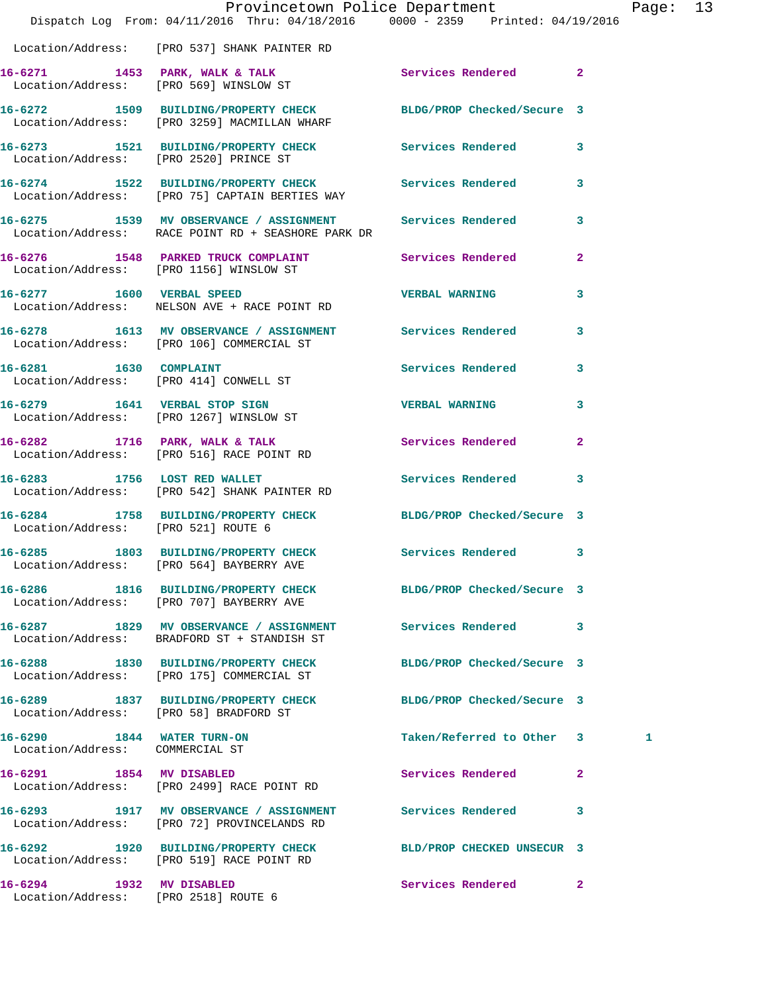|                                                                  | Dispatch Log From: 04/11/2016 Thru: 04/18/2016 0000 - 2359 Printed: 04/19/2016                                    | Provincetown Police Department |              | Page: 13 |  |
|------------------------------------------------------------------|-------------------------------------------------------------------------------------------------------------------|--------------------------------|--------------|----------|--|
|                                                                  | Location/Address: [PRO 537] SHANK PAINTER RD                                                                      |                                |              |          |  |
|                                                                  | 16-6271 1453 PARK, WALK & TALK 1997 Services Rendered 2<br>Location/Address: [PRO 569] WINSLOW ST                 |                                |              |          |  |
|                                                                  | 16-6272 1509 BUILDING/PROPERTY CHECK BLDG/PROP Checked/Secure 3<br>Location/Address: [PRO 3259] MACMILLAN WHARF   |                                |              |          |  |
|                                                                  | 16-6273 1521 BUILDING/PROPERTY CHECK Services Rendered 3<br>Location/Address: [PRO 2520] PRINCE ST                |                                |              |          |  |
|                                                                  | 16-6274 1522 BUILDING/PROPERTY CHECK Services Rendered 3<br>Location/Address: [PRO 75] CAPTAIN BERTIES WAY        |                                |              |          |  |
|                                                                  | 16-6275 1539 MV OBSERVANCE / ASSIGNMENT Services Rendered 3<br>Location/Address: RACE POINT RD + SEASHORE PARK DR |                                |              |          |  |
|                                                                  | 16-6276 1548 PARKED TRUCK COMPLAINT Services Rendered Location/Address: [PRO 1156] WINSLOW ST                     |                                | $\mathbf{2}$ |          |  |
|                                                                  | 16-6277 1600 VERBAL SPEED<br>Location/Address: NELSON AVE + RACE POINT RD                                         | <b>VERBAL WARNING</b>          | 3            |          |  |
|                                                                  | 16-6278 1613 MV OBSERVANCE / ASSIGNMENT Services Rendered 3<br>Location/Address: [PRO 106] COMMERCIAL ST          |                                |              |          |  |
|                                                                  | 16-6281 1630 COMPLAINT<br>Location/Address: [PRO 414] CONWELL ST                                                  | Services Rendered 3            |              |          |  |
|                                                                  | 16-6279 1641 VERBAL STOP SIGN 16-6279 VERBAL WARNING 3<br>Location/Address: [PRO 1267] WINSLOW ST                 |                                |              |          |  |
|                                                                  | 16-6282 1716 PARK, WALK & TALK Services Rendered<br>Location/Address: [PRO 516] RACE POINT RD                     |                                | $\mathbf{2}$ |          |  |
| 16-6283 1756 LOST RED WALLET                                     | Location/Address: [PRO 542] SHANK PAINTER RD                                                                      | Services Rendered 3            |              |          |  |
| Location/Address: [PRO 521] ROUTE 6                              | 16-6284 1758 BUILDING/PROPERTY CHECK BLDG/PROP Checked/Secure 3                                                   |                                |              |          |  |
|                                                                  | 16-6285 1803 BUILDING/PROPERTY CHECK Services Rendered 3<br>Location/Address: [PRO 564] BAYBERRY AVE              |                                |              |          |  |
|                                                                  | 16-6286 1816 BUILDING/PROPERTY CHECK BLDG/PROP Checked/Secure 3<br>Location/Address: [PRO 707] BAYBERRY AVE       |                                |              |          |  |
|                                                                  | 16-6287 1829 MV OBSERVANCE / ASSIGNMENT<br>Location/Address: BRADFORD ST + STANDISH ST                            | Services Rendered 3            |              |          |  |
|                                                                  | 16-6288 1830 BUILDING/PROPERTY CHECK<br>Location/Address: [PRO 175] COMMERCIAL ST                                 | BLDG/PROP Checked/Secure 3     |              |          |  |
| Location/Address: [PRO 58] BRADFORD ST                           | 16-6289 1837 BUILDING/PROPERTY CHECK                                                                              | BLDG/PROP Checked/Secure 3     |              |          |  |
| 16-6290 1844 WATER TURN-ON<br>Location/Address: COMMERCIAL ST    |                                                                                                                   | Taken/Referred to Other 3      |              | 1        |  |
| 16-6291 1854 MV DISABLED                                         | Location/Address: [PRO 2499] RACE POINT RD                                                                        | Services Rendered              | $\mathbf{2}$ |          |  |
|                                                                  | 16-6293 1917 MV OBSERVANCE / ASSIGNMENT<br>Location/Address: [PRO 72] PROVINCELANDS RD                            | <b>Services Rendered</b>       | 3            |          |  |
|                                                                  | 16-6292 1920 BUILDING/PROPERTY CHECK<br>Location/Address: [PRO 519] RACE POINT RD                                 | BLD/PROP CHECKED UNSECUR 3     |              |          |  |
| 16-6294 1932 MV DISABLED<br>Location/Address: [PRO 2518] ROUTE 6 |                                                                                                                   | Services Rendered              | $\mathbf{2}$ |          |  |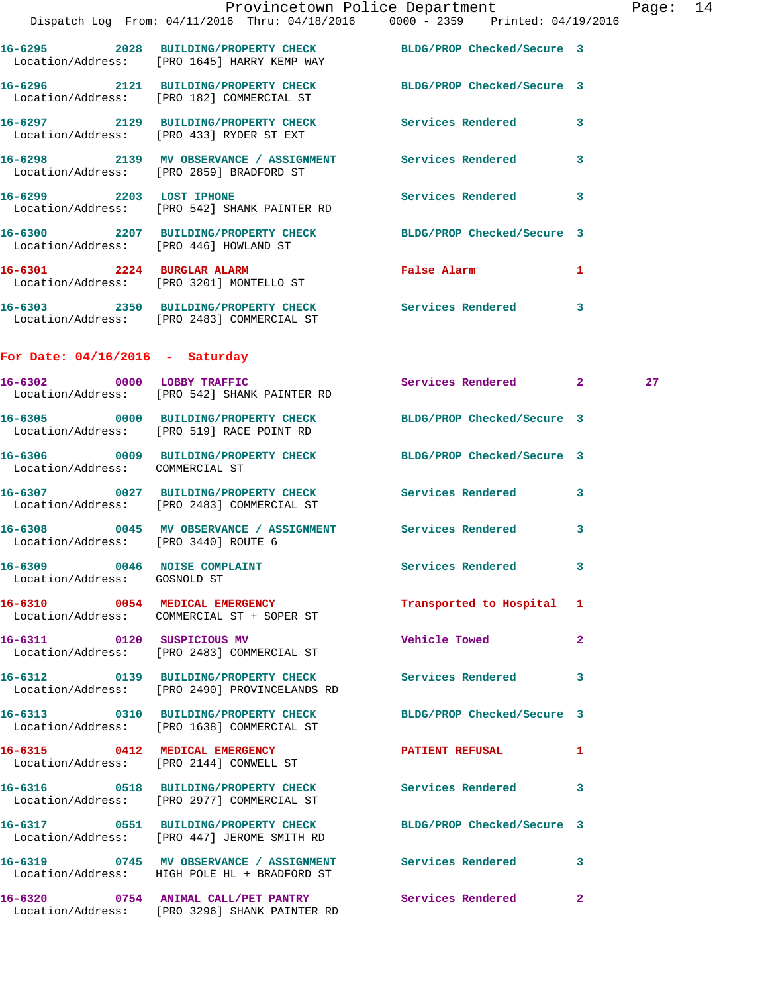|                                        |                                                                                                                | Provincetown Police Department Page: 14 |                         |    |  |
|----------------------------------------|----------------------------------------------------------------------------------------------------------------|-----------------------------------------|-------------------------|----|--|
|                                        | Dispatch Log From: 04/11/2016 Thru: 04/18/2016 0000 - 2359 Printed: 04/19/2016                                 |                                         |                         |    |  |
|                                        | 16-6295 2028 BUILDING/PROPERTY CHECK BLDG/PROP Checked/Secure 3<br>Location/Address: [PRO 1645] HARRY KEMP WAY |                                         |                         |    |  |
|                                        | 16-6296 2121 BUILDING/PROPERTY CHECK BLDG/PROP Checked/Secure 3<br>Location/Address: [PRO 182] COMMERCIAL ST   |                                         |                         |    |  |
|                                        | 16-6297 2129 BUILDING/PROPERTY CHECK Services Rendered<br>Location/Address: [PRO 433] RYDER ST EXT             |                                         | $\overline{\mathbf{3}}$ |    |  |
|                                        | 16-6298 2139 MV OBSERVANCE / ASSIGNMENT Services Rendered<br>Location/Address: [PRO 2859] BRADFORD ST          |                                         | 3                       |    |  |
|                                        | 16-6299 2203 LOST IPHONE<br>Location/Address: [PRO 542] SHANK PAINTER RD                                       | Services Rendered                       | 3                       |    |  |
| Location/Address: [PRO 446] HOWLAND ST | 16-6300 2207 BUILDING/PROPERTY CHECK BLDG/PROP Checked/Secure 3                                                |                                         |                         |    |  |
|                                        | 16-6301 2224 BURGLAR ALARM<br>Location/Address: [PRO 3201] MONTELLO ST                                         | False Alarm                             | -1                      |    |  |
|                                        | 16-6303 2350 BUILDING/PROPERTY CHECK Services Rendered<br>Location/Address: [PRO 2483] COMMERCIAL ST           |                                         | 3                       |    |  |
| For Date: $04/16/2016$ - Saturday      |                                                                                                                |                                         |                         |    |  |
|                                        | 16-6302 0000 LOBBY TRAFFIC<br>Location/Address: [PRO 542] SHANK PAINTER RD                                     | Services Rendered 2                     |                         | 27 |  |

 Location/Address: [PRO 542] SHANK PAINTER RD **16-6305 0000 BUILDING/PROPERTY CHECK BLDG/PROP Checked/Secure 3**  Location/Address: [PRO 519] RACE POINT RD **16-6306 0009 BUILDING/PROPERTY CHECK BLDG/PROP Checked/Secure 3**  Location/Address: COMMERCIAL ST **16-6307 0027 BUILDING/PROPERTY CHECK Services Rendered 3**  Location/Address: [PRO 2483] COMMERCIAL ST **16-6308 0045 MV OBSERVANCE / ASSIGNMENT Services Rendered 3**  Location/Address: [PRO 3440] ROUTE 6 16-6309 0046 NOISE COMPLAINT **Services Rendered** 3 Location/Address: GOSNOLD ST **16-6310 0054 MEDICAL EMERGENCY Transported to Hospital 1**  Location/Address: COMMERCIAL ST + SOPER ST **16-6311 0120 SUSPICIOUS MV Vehicle Towed 2**  Location/Address: [PRO 2483] COMMERCIAL ST **16-6312 0139 BUILDING/PROPERTY CHECK Services Rendered 3**  Location/Address: [PRO 2490] PROVINCELANDS RD **16-6313 0310 BUILDING/PROPERTY CHECK BLDG/PROP Checked/Secure 3**  Location/Address: [PRO 1638] COMMERCIAL ST **16-6315 0412 MEDICAL EMERGENCY PATIENT REFUSAL 1**  Location/Address: [PRO 2144] CONWELL ST **16-6316 0518 BUILDING/PROPERTY CHECK Services Rendered 3**  Location/Address: [PRO 2977] COMMERCIAL ST **16-6317 0551 BUILDING/PROPERTY CHECK BLDG/PROP Checked/Secure 3**  Location/Address: [PRO 447] JEROME SMITH RD **16-6319 0745 MV OBSERVANCE / ASSIGNMENT Services Rendered 3**  Location/Address: HIGH POLE HL + BRADFORD ST **16-6320 0754 ANIMAL CALL/PET PANTRY Services Rendered 2** 

Location/Address: [PRO 3296] SHANK PAINTER RD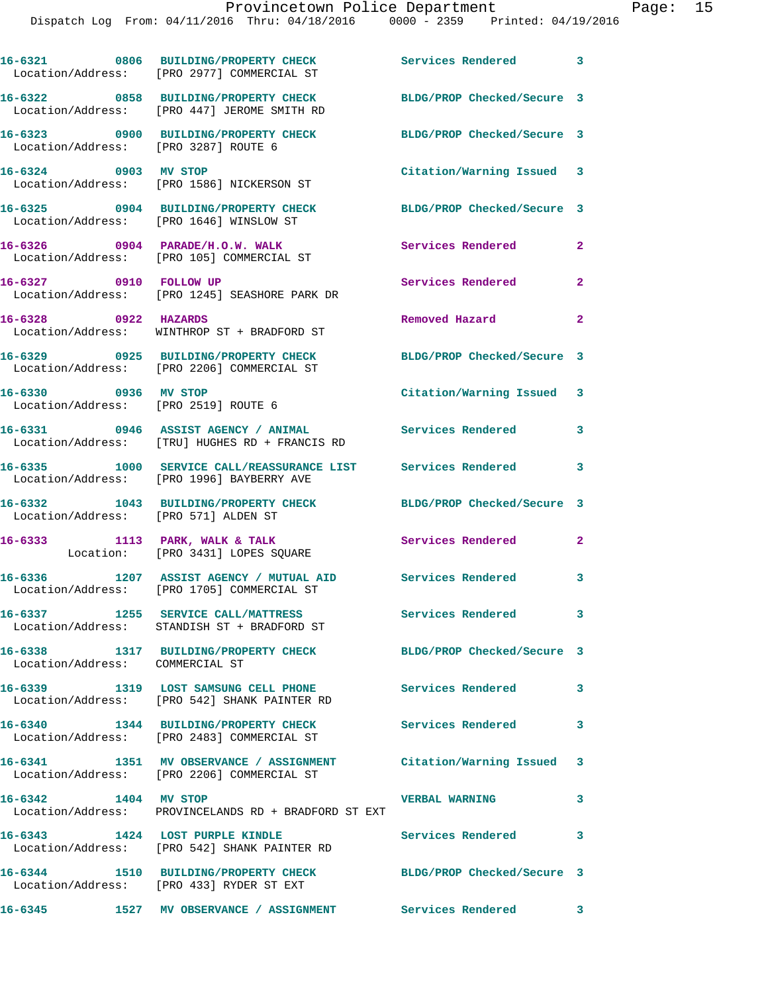|                                      | 16-6321 0806 BUILDING/PROPERTY CHECK<br>Location/Address: [PRO 2977] COMMERCIAL ST                                 | Services Rendered 3                  |                            |
|--------------------------------------|--------------------------------------------------------------------------------------------------------------------|--------------------------------------|----------------------------|
|                                      | 16-6322 0858 BUILDING/PROPERTY CHECK<br>Location/Address: [PRO 447] JEROME SMITH RD                                | BLDG/PROP Checked/Secure 3           |                            |
| Location/Address: [PRO 3287] ROUTE 6 | 16-6323 0900 BUILDING/PROPERTY CHECK                                                                               | BLDG/PROP Checked/Secure 3           |                            |
| 16-6324 0903 MV STOP                 | Location/Address: [PRO 1586] NICKERSON ST                                                                          | Citation/Warning Issued 3            |                            |
|                                      | 16-6325 0904 BUILDING/PROPERTY CHECK<br>Location/Address: [PRO 1646] WINSLOW ST                                    | BLDG/PROP Checked/Secure 3           |                            |
|                                      | 16-6326 0904 PARADE/H.O.W. WALK<br>Location/Address: [PRO 105] COMMERCIAL ST                                       | <b>Services Rendered</b><br>$\sim$ 2 |                            |
| 16-6327 0910 FOLLOW UP               | Location/Address: [PRO 1245] SEASHORE PARK DR                                                                      | Services Rendered                    | $\mathbf{2}$               |
| 16-6328 0922 HAZARDS                 | Location/Address: WINTHROP ST + BRADFORD ST                                                                        | Removed Hazard                       | $\overline{\mathbf{2}}$    |
|                                      | 16-6329 0925 BUILDING/PROPERTY CHECK<br>Location/Address: [PRO 2206] COMMERCIAL ST                                 | BLDG/PROP Checked/Secure 3           |                            |
| 16-6330 0936 MV STOP                 | Location/Address: [PRO 2519] ROUTE 6                                                                               | Citation/Warning Issued 3            |                            |
|                                      | 16-6331 0946 ASSIST AGENCY / ANIMAL<br>Location/Address: [TRU] HUGHES RD + FRANCIS RD                              | <b>Services Rendered</b>             | 3                          |
|                                      | 16-6335 1000 SERVICE CALL/REASSURANCE LIST Services Rendered<br>Location/Address: [PRO 1996] BAYBERRY AVE          |                                      | $\overline{\phantom{a}}$ 3 |
| Location/Address: [PRO 571] ALDEN ST | 16-6332 1043 BUILDING/PROPERTY CHECK                                                                               | BLDG/PROP Checked/Secure 3           |                            |
|                                      | 16-6333 1113 PARK, WALK & TALK<br>Location: [PRO 3431] LOPES SQUARE                                                | Services Rendered                    | $\mathbf{2}$               |
|                                      | 16-6336 1207 ASSIST AGENCY / MUTUAL AID<br>Location/Address: [PRO 1705] COMMERCIAL ST                              | Services Rendered 3                  |                            |
|                                      | 16-6337 1255 SERVICE CALL/MATTRESS<br>Location/Address: STANDISH ST + BRADFORD ST                                  | <b>Services Rendered</b>             |                            |
| Location/Address: COMMERCIAL ST      | 16-6338 1317 BUILDING/PROPERTY CHECK BLDG/PROP Checked/Secure 3                                                    |                                      |                            |
|                                      | 16-6339 1319 LOST SAMSUNG CELL PHONE Services Rendered 3<br>Location/Address: [PRO 542] SHANK PAINTER RD           |                                      |                            |
|                                      | 16-6340 1344 BUILDING/PROPERTY CHECK<br>Location/Address: [PRO 2483] COMMERCIAL ST                                 | Services Rendered                    | 3                          |
|                                      | 16-6341 1351 MV OBSERVANCE / ASSIGNMENT Citation/Warning Issued 3<br>Location/Address: [PRO 2206] COMMERCIAL ST    |                                      |                            |
| 16-6342 1404 MV STOP                 | Location/Address: PROVINCELANDS RD + BRADFORD ST EXT                                                               | <b>VERBAL WARNING</b>                | $\mathbf{3}$               |
| 16-6343 1424 LOST PURPLE KINDLE      | Location/Address: [PRO 542] SHANK PAINTER RD                                                                       | Services Rendered                    | $\overline{\phantom{a}}$ 3 |
|                                      | 16-6344 1510 BUILDING/PROPERTY CHECK<br>Location/Address: [PRO 433] RYDER ST EXT                                   | BLDG/PROP Checked/Secure 3           |                            |
|                                      | 16-6345                 1527    MV  OBSERVANCE  /  ASSIGNMENT                 Services  Rendered                 3 |                                      |                            |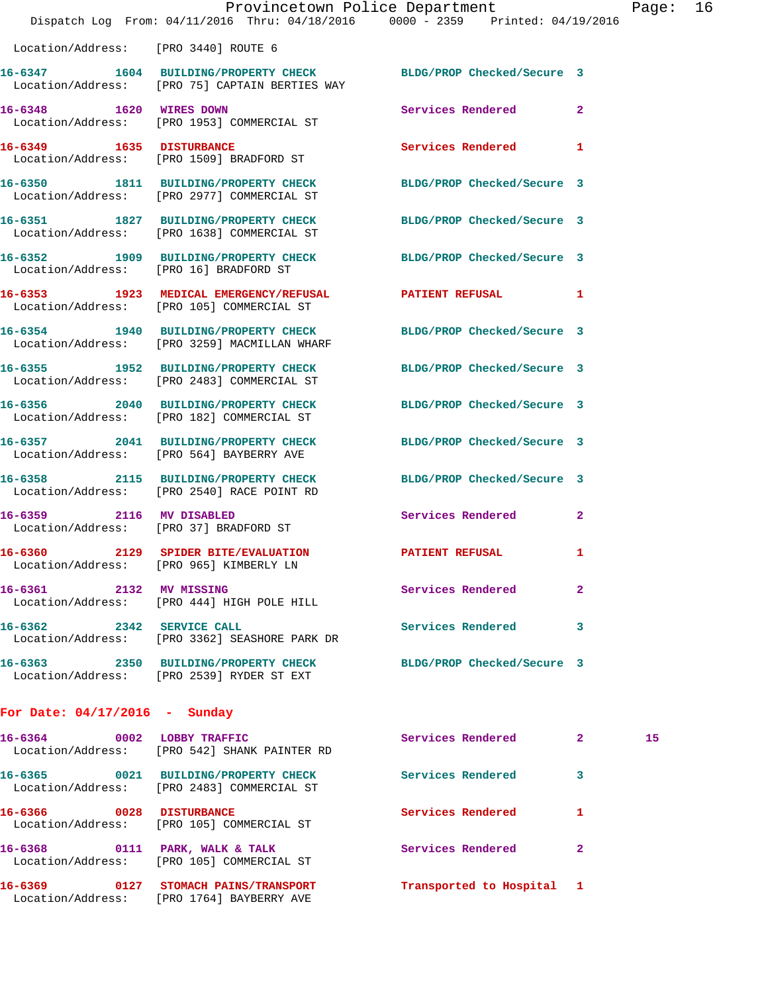|                                         | Provincetown Police Department<br>Dispatch Log From: 04/11/2016 Thru: 04/18/2016 0000 - 2359 Printed: 04/19/2016  |                            |              | Page |
|-----------------------------------------|-------------------------------------------------------------------------------------------------------------------|----------------------------|--------------|------|
|                                         |                                                                                                                   |                            |              |      |
| Location/Address: [PRO 3440] ROUTE 6    |                                                                                                                   |                            |              |      |
|                                         | 16-6347 1604 BUILDING/PROPERTY CHECK BLDG/PROP Checked/Secure 3<br>Location/Address: [PRO 75] CAPTAIN BERTIES WAY |                            |              |      |
|                                         | 16-6348 1620 WIRES DOWN<br>Location/Address: [PRO 1953] COMMERCIAL ST                                             | Services Rendered          | $\mathbf{2}$ |      |
| 16-6349 1635 DISTURBANCE                | Location/Address: [PRO 1509] BRADFORD ST                                                                          | <b>Services Rendered</b>   | 1            |      |
|                                         | 16-6350 1811 BUILDING/PROPERTY CHECK<br>Location/Address: [PRO 2977] COMMERCIAL ST                                | BLDG/PROP Checked/Secure 3 |              |      |
|                                         | 16-6351 1827 BUILDING/PROPERTY CHECK<br>Location/Address: [PRO 1638] COMMERCIAL ST                                | BLDG/PROP Checked/Secure 3 |              |      |
| Location/Address: [PRO 16] BRADFORD ST  | 16-6352 1909 BUILDING/PROPERTY CHECK                                                                              | BLDG/PROP Checked/Secure 3 |              |      |
|                                         | 16-6353 1923 MEDICAL EMERGENCY/REFUSAL PATIENT REFUSAL<br>Location/Address: [PRO 105] COMMERCIAL ST               |                            | 1            |      |
|                                         | 16-6354 1940 BUILDING/PROPERTY CHECK<br>Location/Address: [PRO 3259] MACMILLAN WHARF                              | BLDG/PROP Checked/Secure 3 |              |      |
|                                         | 16-6355 1952 BUILDING/PROPERTY CHECK<br>Location/Address: [PRO 2483] COMMERCIAL ST                                | BLDG/PROP Checked/Secure 3 |              |      |
|                                         | 16-6356 2040 BUILDING/PROPERTY CHECK<br>Location/Address: [PRO 182] COMMERCIAL ST                                 | BLDG/PROP Checked/Secure 3 |              |      |
|                                         | 16-6357 2041 BUILDING/PROPERTY CHECK<br>Location/Address: [PRO 564] BAYBERRY AVE                                  | BLDG/PROP Checked/Secure 3 |              |      |
|                                         | 16-6358 2115 BUILDING/PROPERTY CHECK<br>Location/Address: [PRO 2540] RACE POINT RD                                | BLDG/PROP Checked/Secure 3 |              |      |
| 16-6359 2116 MV DISABLED                | Location/Address: [PRO 37] BRADFORD ST                                                                            | <b>Services Rendered</b>   | $\mathbf{2}$ |      |
| Location/Address: [PRO 965] KIMBERLY LN | 16-6360 2129 SPIDER BITE/EVALUATION PATIENT REFUSAL                                                               |                            | 1            |      |
| 16-6361 2132 MV MISSING                 | Location/Address: [PRO 444] HIGH POLE HILL                                                                        | Services Rendered          | 2            |      |
| 16-6362 2342 SERVICE CALL               | Location/Address: [PRO 3362] SEASHORE PARK DR                                                                     | <b>Services Rendered</b>   | 3            |      |
|                                         | 16-6363 2350 BUILDING/PROPERTY CHECK<br>Location/Address: [PRO 2539] RYDER ST EXT                                 | BLDG/PROP Checked/Secure 3 |              |      |
| For Date: $04/17/2016$ - Sunday         |                                                                                                                   |                            |              |      |
| 16-6364 0002 LOBBY TRAFFIC              | Location/Address: [PRO 542] SHANK PAINTER RD                                                                      | Services Rendered 2        |              | 15   |

| 16–6369<br>0127 | STOMACH PAINS/TRANSPORT                                               | Transported to Hospital 1 |   |
|-----------------|-----------------------------------------------------------------------|---------------------------|---|
| 16-6368<br>0111 | PARK, WALK & TALK<br>Location/Address: [PRO 105] COMMERCIAL ST        | Services Rendered         | 2 |
| 16–6366<br>0028 | <b>DISTURBANCE</b><br>Location/Address: [PRO 105] COMMERCIAL ST       | Services Rendered         |   |
| 16-6365<br>0021 | BUILDING/PROPERTY CHECK<br>Location/Address: [PRO 2483] COMMERCIAL ST | Services Rendered         | 3 |
|                 | UUCQUIUM AQQICSS * *** FINO UTAT DIIANN FAINIEN ND                    |                           |   |

Location/Address: [PRO 1764] BAYBERRY AVE

Page: 16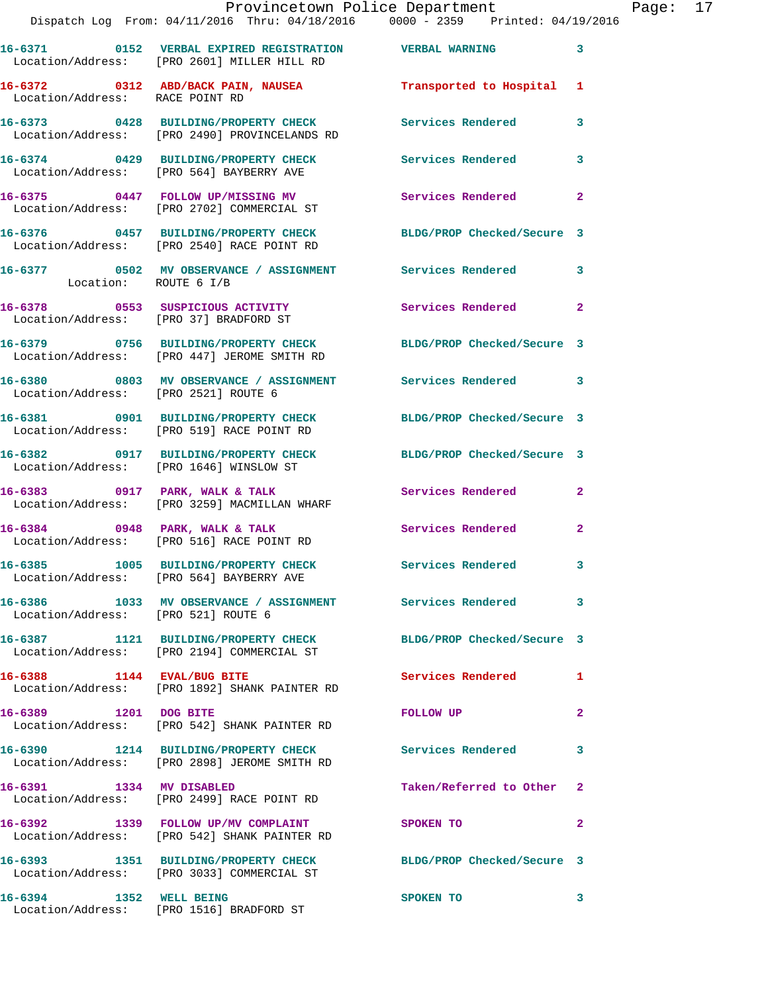|                                      | Provincetown Police Department Fage: 17<br>Dispatch Log From: 04/11/2016 Thru: 04/18/2016  0000 - 2359  Printed: 04/19/2016 |                           |                |  |
|--------------------------------------|-----------------------------------------------------------------------------------------------------------------------------|---------------------------|----------------|--|
|                                      | 16-6371  0152  VERBAL EXPIRED REGISTRATION  VERBAL WARNING<br>Location/Address: [PRO 2601] MILLER HILL RD                   |                           | 3              |  |
| Location/Address: RACE POINT RD      | 16-6372 0312 ABD/BACK PAIN, NAUSEA Transported to Hospital 1                                                                |                           |                |  |
|                                      | 16-6373      0428   BUILDING/PROPERTY CHECK        Services Rendered<br>Location/Address:   [PRO 2490] PROVINCELANDS RD     |                           | $\mathbf{3}$   |  |
|                                      | 16-6374 0429 BUILDING/PROPERTY CHECK Services Rendered<br>Location/Address: [PRO 564] BAYBERRY AVE                          |                           | $\mathbf{3}$   |  |
|                                      | 16-6375   0447   FOLLOW UP/MISSING MV   Services Rendered<br>Location/Address: [PRO 2702] COMMERCIAL ST                     |                           | $\mathbf{2}$   |  |
|                                      | 16-6376 0457 BUILDING/PROPERTY CHECK BLDG/PROP Checked/Secure 3<br>Location/Address: [PRO 2540] RACE POINT RD               |                           |                |  |
| Location: ROUTE 6 I/B                | 16-6377 0502 MV OBSERVANCE / ASSIGNMENT Services Rendered 3                                                                 |                           |                |  |
|                                      | 16-6378 0553 SUSPICIOUS ACTIVITY<br>Location/Address: [PRO 37] BRADFORD ST                                                  | Services Rendered         | $\overline{2}$ |  |
|                                      | 16-6379 0756 BUILDING/PROPERTY CHECK BLDG/PROP Checked/Secure 3<br>Location/Address: [PRO 447] JEROME SMITH RD              |                           |                |  |
| Location/Address: [PRO 2521] ROUTE 6 | 16-6380 0803 MV OBSERVANCE / ASSIGNMENT Services Rendered 3                                                                 |                           |                |  |
|                                      | 16-6381 0901 BUILDING/PROPERTY CHECK BLDG/PROP Checked/Secure 3<br>Location/Address: [PRO 519] RACE POINT RD                |                           |                |  |
|                                      | 16-6382 0917 BUILDING/PROPERTY CHECK BLDG/PROP Checked/Secure 3<br>Location/Address: [PRO 1646] WINSLOW ST                  |                           |                |  |
|                                      | 16-6383 0917 PARK, WALK & TALK 3 Services Rendered<br>Location/Address: [PRO 3259] MACMILLAN WHARF                          |                           | $\mathbf{2}$   |  |
|                                      | 16-6384 0948 PARK, WALK & TALK<br>Location/Address: [PRO 516] RACE POINT RD                                                 | Services Rendered         | $\mathbf{2}$   |  |
|                                      | 16-6385 1005 BUILDING/PROPERTY CHECK<br>Location/Address: [PRO 564] BAYBERRY AVE                                            | Services Rendered         |                |  |
| Location/Address: [PRO 521] ROUTE 6  | 16-6386 1033 MV OBSERVANCE / ASSIGNMENT Services Rendered                                                                   |                           | 3              |  |
|                                      | 16-6387 1121 BUILDING/PROPERTY CHECK BLDG/PROP Checked/Secure 3<br>Location/Address: [PRO 2194] COMMERCIAL ST               |                           |                |  |
|                                      | 16-6388 1144 EVAL/BUG BITE<br>Location/Address: [PRO 1892] SHANK PAINTER RD                                                 | Services Rendered         | 1              |  |
| 16-6389 1201 DOG BITE                | Location/Address: [PRO 542] SHANK PAINTER RD                                                                                | FOLLOW UP                 | $\mathbf{2}$   |  |
|                                      | 16-6390 1214 BUILDING/PROPERTY CHECK Services Rendered<br>Location/Address: [PRO 2898] JEROME SMITH RD                      |                           | 3              |  |
| 16-6391 1334 MV DISABLED             | Location/Address: [PRO 2499] RACE POINT RD                                                                                  | Taken/Referred to Other 2 |                |  |
|                                      | 16-6392 1339 FOLLOW UP/MV COMPLAINT<br>Location/Address: [PRO 542] SHANK PAINTER RD                                         | SPOKEN TO                 | 2              |  |
|                                      | 16-6393 1351 BUILDING/PROPERTY CHECK BLDG/PROP Checked/Secure 3<br>Location/Address: [PRO 3033] COMMERCIAL ST               |                           |                |  |
| 16-6394 1352 WELL BEING              |                                                                                                                             | SPOKEN TO                 | 3              |  |

Location/Address: [PRO 1516] BRADFORD ST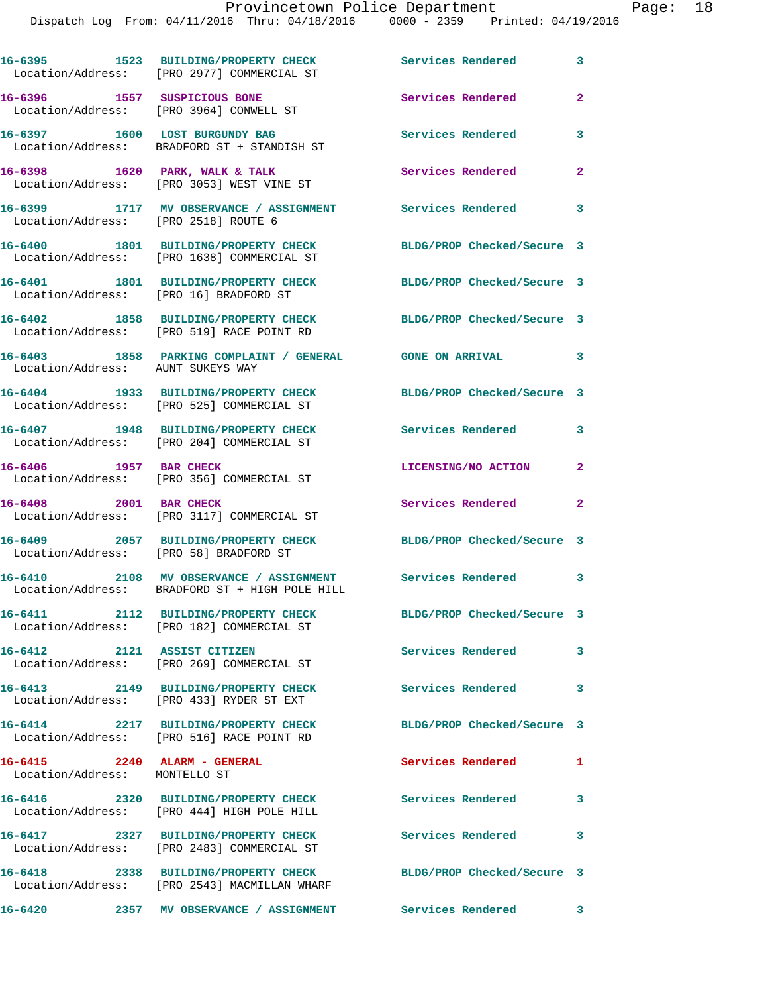|                                                               | 16-6395 1523 BUILDING/PROPERTY CHECK<br>Location/Address: [PRO 2977] COMMERCIAL ST        | Services Rendered          | 3                          |
|---------------------------------------------------------------|-------------------------------------------------------------------------------------------|----------------------------|----------------------------|
| 16-6396 1557 SUSPICIOUS BONE                                  | Location/Address: [PRO 3964] CONWELL ST                                                   | Services Rendered          | $\mathbf{2}$               |
|                                                               | 16-6397 1600 LOST BURGUNDY BAG<br>Location/Address: BRADFORD ST + STANDISH ST             | Services Rendered          | 3                          |
|                                                               | 16-6398 1620 PARK, WALK & TALK<br>Location/Address: [PRO 3053] WEST VINE ST               | Services Rendered          | $\mathbf{2}$               |
| Location/Address: [PRO 2518] ROUTE 6                          | 16-6399 1717 MV OBSERVANCE / ASSIGNMENT                                                   | <b>Services Rendered</b>   | $\overline{\phantom{a}}$ 3 |
|                                                               | 16-6400 1801 BUILDING/PROPERTY CHECK<br>Location/Address: [PRO 1638] COMMERCIAL ST        | BLDG/PROP Checked/Secure 3 |                            |
|                                                               | 16-6401 1801 BUILDING/PROPERTY CHECK<br>Location/Address: [PRO 16] BRADFORD ST            | BLDG/PROP Checked/Secure 3 |                            |
|                                                               | 16-6402 1858 BUILDING/PROPERTY CHECK<br>Location/Address: [PRO 519] RACE POINT RD         | BLDG/PROP Checked/Secure 3 |                            |
| Location/Address: AUNT SUKEYS WAY                             | 16-6403 1858 PARKING COMPLAINT / GENERAL GONE ON ARRIVAL                                  |                            | $\sim$ 3                   |
|                                                               | 16-6404 1933 BUILDING/PROPERTY CHECK<br>Location/Address: [PRO 525] COMMERCIAL ST         | BLDG/PROP Checked/Secure 3 |                            |
|                                                               | 16-6407 1948 BUILDING/PROPERTY CHECK<br>Location/Address: [PRO 204] COMMERCIAL ST         | Services Rendered          | 3                          |
| 16-6406 1957 BAR CHECK                                        | Location/Address: [PRO 356] COMMERCIAL ST                                                 | LICENSING/NO ACTION        | $\mathbf{2}$               |
| 16-6408 2001 BAR CHECK                                        | Location/Address: [PRO 3117] COMMERCIAL ST                                                | Services Rendered          | $\mathbf{2}$               |
|                                                               | 16-6409 2057 BUILDING/PROPERTY CHECK<br>Location/Address: [PRO 58] BRADFORD ST            | BLDG/PROP Checked/Secure 3 |                            |
|                                                               | 16-6410 2108 MV OBSERVANCE / ASSIGNMENT<br>Location/Address: BRADFORD ST + HIGH POLE HILL | Services Rendered          | 3                          |
|                                                               | 16-6411 2112 BUILDING/PROPERTY CHECK<br>Location/Address: [PRO 182] COMMERCIAL ST         | BLDG/PROP Checked/Secure 3 |                            |
| 16-6412 2121 ASSIST CITIZEN                                   | Location/Address: [PRO 269] COMMERCIAL ST                                                 | Services Rendered          | 3                          |
|                                                               | 16-6413 2149 BUILDING/PROPERTY CHECK<br>Location/Address: [PRO 433] RYDER ST EXT          | <b>Services Rendered</b>   | 3                          |
|                                                               | 16-6414 2217 BUILDING/PROPERTY CHECK<br>Location/Address: [PRO 516] RACE POINT RD         | BLDG/PROP Checked/Secure 3 |                            |
| 16-6415 2240 ALARM - GENERAL<br>Location/Address: MONTELLO ST |                                                                                           | Services Rendered          | 1                          |
|                                                               | 16-6416 2320 BUILDING/PROPERTY CHECK<br>Location/Address: [PRO 444] HIGH POLE HILL        | Services Rendered          | 3                          |
|                                                               | 16-6417 2327 BUILDING/PROPERTY CHECK<br>Location/Address: [PRO 2483] COMMERCIAL ST        | Services Rendered          | 3                          |
|                                                               | 16-6418 2338 BUILDING/PROPERTY CHECK<br>Location/Address: [PRO 2543] MACMILLAN WHARF      | BLDG/PROP Checked/Secure 3 |                            |

**16-6420 2357 MV OBSERVANCE / ASSIGNMENT Services Rendered 3**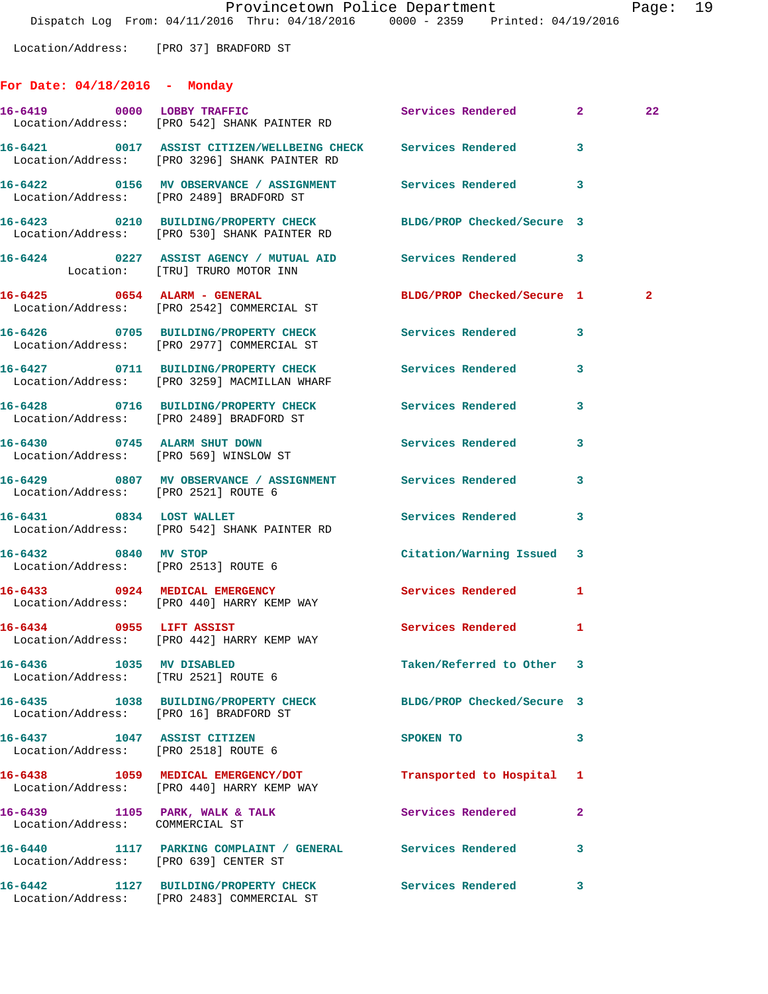Location/Address: [PRO 37] BRADFORD ST

## **For Date: 04/18/2016 - Monday**

|                                                                     | 16-6419 0000 LOBBY TRAFFIC<br>Location/Address: [PRO 542] SHANK PAINTER RD                                       | Services Rendered 2        |                | 22           |
|---------------------------------------------------------------------|------------------------------------------------------------------------------------------------------------------|----------------------------|----------------|--------------|
|                                                                     | 16-6421 0017 ASSIST CITIZEN/WELLBEING CHECK Services Rendered 3<br>Location/Address: [PRO 3296] SHANK PAINTER RD |                            |                |              |
|                                                                     | 16-6422 0156 MV OBSERVANCE / ASSIGNMENT Services Rendered 3<br>Location/Address: [PRO 2489] BRADFORD ST          |                            |                |              |
|                                                                     | 16-6423 0210 BUILDING/PROPERTY CHECK BLDG/PROP Checked/Secure 3<br>Location/Address: [PRO 530] SHANK PAINTER RD  |                            |                |              |
|                                                                     | 16-6424 0227 ASSIST AGENCY / MUTUAL AID Services Rendered 3<br>Location: [TRU] TRURO MOTOR INN                   |                            |                |              |
|                                                                     | 16-6425 0654 ALARM - GENERAL<br>Location/Address: [PRO 2542] COMMERCIAL ST                                       | BLDG/PROP Checked/Secure 1 |                | $\mathbf{2}$ |
|                                                                     | 16-6426 0705 BUILDING/PROPERTY CHECK Services Rendered 3<br>Location/Address: [PRO 2977] COMMERCIAL ST           |                            |                |              |
|                                                                     | 16-6427 0711 BUILDING/PROPERTY CHECK Services Rendered<br>Location/Address: [PRO 3259] MACMILLAN WHARF           |                            | 3              |              |
|                                                                     | 16-6428 0716 BUILDING/PROPERTY CHECK Services Rendered<br>Location/Address: [PRO 2489] BRADFORD ST               |                            | $\mathbf{3}$   |              |
|                                                                     | 16-6430 0745 ALARM SHUT DOWN<br>Location/Address: [PRO 569] WINSLOW ST                                           | Services Rendered          | 3              |              |
| Location/Address: [PRO 2521] ROUTE 6                                | 16-6429 0807 MV OBSERVANCE / ASSIGNMENT Services Rendered                                                        |                            | 3              |              |
|                                                                     | 16-6431 0834 LOST WALLET<br>Location/Address: [PRO 542] SHANK PAINTER RD                                         | Services Rendered 3        |                |              |
| 16-6432 0840 MV STOP                                                | Location/Address: [PRO 2513] ROUTE 6                                                                             | Citation/Warning Issued 3  |                |              |
|                                                                     | 16-6433 0924 MEDICAL EMERGENCY<br>Location/Address: [PRO 440] HARRY KEMP WAY                                     | Services Rendered 1        |                |              |
|                                                                     | 16-6434 0955 LIFT ASSIST<br>Location/Address: [PRO 442] HARRY KEMP WAY                                           | Services Rendered          | 1              |              |
| Location/Address: [TRU 2521] ROUTE 6                                | 16-6436 1035 MV DISABLED                                                                                         | Taken/Referred to Other    |                |              |
| Location/Address: [PRO 16] BRADFORD ST                              | 16-6435 1038 BUILDING/PROPERTY CHECK BLDG/PROP Checked/Secure 3                                                  |                            |                |              |
| 16-6437 1047 ASSIST CITIZEN<br>Location/Address: [PRO 2518] ROUTE 6 |                                                                                                                  | SPOKEN TO                  | 3              |              |
|                                                                     | 16-6438 1059 MEDICAL EMERGENCY/DOT<br>Location/Address: [PRO 440] HARRY KEMP WAY                                 | Transported to Hospital    | 1              |              |
| Location/Address: COMMERCIAL ST                                     | 16-6439 1105 PARK, WALK & TALK                                                                                   | Services Rendered          | $\overline{2}$ |              |
| Location/Address: [PRO 639] CENTER ST                               | 16-6440 1117 PARKING COMPLAINT / GENERAL Services Rendered                                                       |                            | 3              |              |
|                                                                     | 16-6442 1127 BUILDING/PROPERTY CHECK<br>Location/Address: [PRO 2483] COMMERCIAL ST                               | Services Rendered          | 3              |              |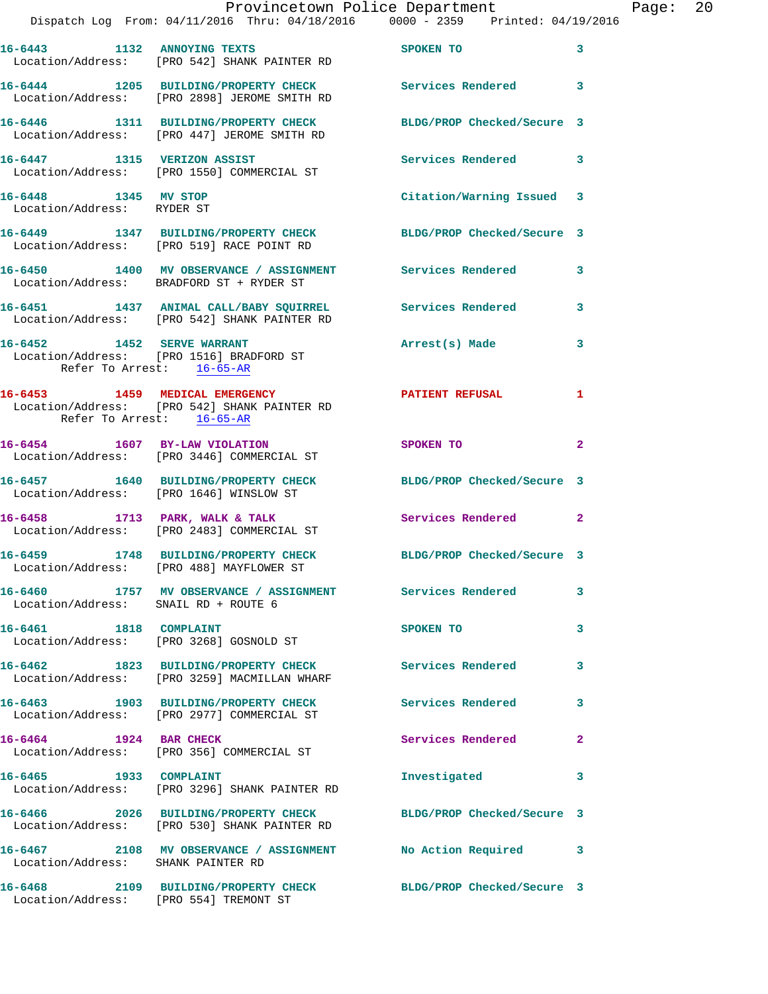|                                                    | Dispatch Log From: 04/11/2016 Thru: 04/18/2016 0000 - 2359 Printed: 04/19/2016                                  | Provincetown Police Department | Page: 20     |
|----------------------------------------------------|-----------------------------------------------------------------------------------------------------------------|--------------------------------|--------------|
|                                                    | 16-6443 1132 ANNOYING TEXTS<br>Location/Address: [PRO 542] SHANK PAINTER RD                                     | SPOKEN TO                      | 3            |
|                                                    | 16-6444 1205 BUILDING/PROPERTY CHECK Services Rendered 3<br>Location/Address: [PRO 2898] JEROME SMITH RD        |                                |              |
|                                                    | 16-6446 1311 BUILDING/PROPERTY CHECK BLDG/PROP Checked/Secure 3<br>Location/Address: [PRO 447] JEROME SMITH RD  |                                |              |
|                                                    | 16-6447 1315 VERIZON ASSIST<br>Location/Address: [PRO 1550] COMMERCIAL ST                                       | Services Rendered 3            |              |
| 16-6448 1345 MV STOP<br>Location/Address: RYDER ST |                                                                                                                 | Citation/Warning Issued 3      |              |
|                                                    | 16-6449 1347 BUILDING/PROPERTY CHECK BLDG/PROP Checked/Secure 3<br>Location/Address: [PRO 519] RACE POINT RD    |                                |              |
|                                                    | 16-6450 1400 MV OBSERVANCE / ASSIGNMENT Services Rendered 3<br>Location/Address: BRADFORD ST + RYDER ST         |                                |              |
|                                                    | 16-6451 1437 ANIMAL CALL/BABY SQUIRREL Services Rendered 3<br>Location/Address: [PRO 542] SHANK PAINTER RD      |                                |              |
| Refer To Arrest: 16-65-AR                          | 16-6452 1452 SERVE WARRANT<br>Location/Address: [PRO 1516] BRADFORD ST                                          | Arrest(s) Made 3               |              |
| Refer To Arrest: 16-65-AR                          | 16-6453 1459 MEDICAL EMERGENCY PATIENT REFUSAL<br>Location/Address: [PRO 542] SHANK PAINTER RD                  |                                | $\mathbf{1}$ |
|                                                    | 16-6454 1607 BY-LAW VIOLATION<br>Location/Address: [PRO 3446] COMMERCIAL ST                                     | SPOKEN TO                      | $\mathbf{2}$ |
|                                                    | 16-6457 1640 BUILDING/PROPERTY CHECK<br>Location/Address: [PRO 1646] WINSLOW ST                                 | BLDG/PROP Checked/Secure 3     |              |
|                                                    | 16-6458 1713 PARK, WALK & TALK<br>Location/Address: [PRO 2483] COMMERCIAL ST                                    | Services Rendered 2            |              |
|                                                    | 16-6459 1748 BUILDING/PROPERTY CHECK BLDG/PROP Checked/Secure 3<br>Location/Address: [PRO 488] MAYFLOWER ST     |                                |              |
| Location/Address: SNAIL RD + ROUTE 6               | 16-6460 1757 MV OBSERVANCE / ASSIGNMENT Services Rendered 3                                                     |                                |              |
|                                                    | 16-6461 1818 COMPLAINT<br>Location/Address: [PRO 3268] GOSNOLD ST                                               | SPOKEN TO                      | 3            |
|                                                    | 16-6462 1823 BUILDING/PROPERTY CHECK Services Rendered 3<br>Location/Address: [PRO 3259] MACMILLAN WHARF        |                                |              |
|                                                    | 16-6463 1903 BUILDING/PROPERTY CHECK Services Rendered<br>Location/Address: [PRO 2977] COMMERCIAL ST            |                                | 3            |
| 16-6464 1924 BAR CHECK                             | Location/Address: [PRO 356] COMMERCIAL ST                                                                       | Services Rendered              | $\mathbf{2}$ |
|                                                    | 16-6465 1933 COMPLAINT<br>Location/Address: [PRO 3296] SHANK PAINTER RD                                         | Investigated                   | $\mathbf{3}$ |
|                                                    | 16-6466 2026 BUILDING/PROPERTY CHECK BLDG/PROP Checked/Secure 3<br>Location/Address: [PRO 530] SHANK PAINTER RD |                                |              |
| Location/Address: SHANK PAINTER RD                 | 16-6467 2108 MV OBSERVANCE / ASSIGNMENT NO Action Required 3                                                    |                                |              |
|                                                    | 16-6468 2109 BUILDING/PROPERTY CHECK BLDG/PROP Checked/Secure 3                                                 |                                |              |

Location/Address: [PRO 554] TREMONT ST